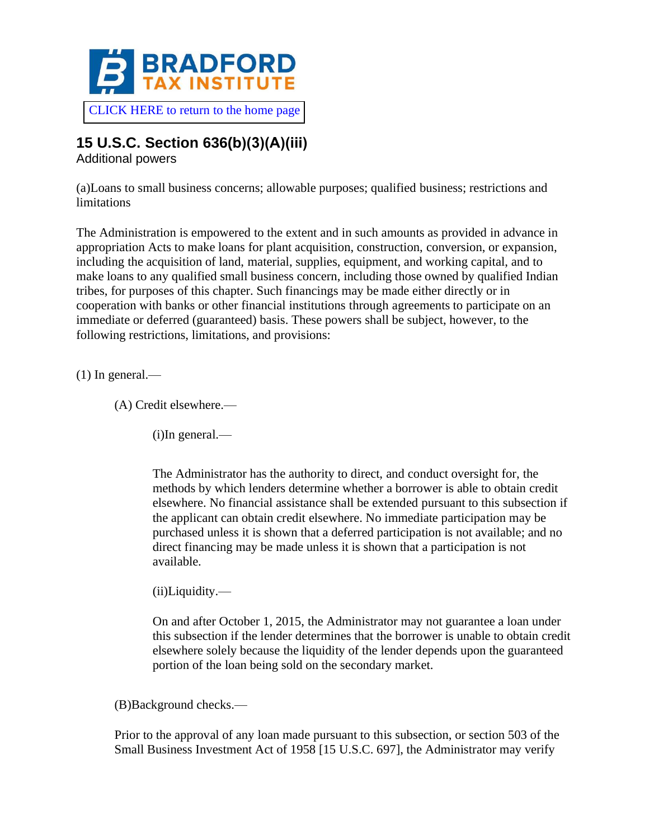

# **15 U.S.C. Section 636(b)(3)(A)(iii)**

Additional powers

(a)Loans to small business concerns; allowable purposes; qualified business; restrictions and **limitations** 

The Administration is empowered to the extent and in such amounts as provided in advance in appropriation Acts to make loans for plant acquisition, construction, conversion, or expansion, including the acquisition of land, material, supplies, equipment, and working capital, and to make loans to any qualified small business concern, including those owned by qualified Indian tribes, for purposes of this chapter. Such financings may be made either directly or in cooperation with banks or other financial institutions through agreements to participate on an immediate or deferred (guaranteed) basis. These powers shall be subject, however, to the following restrictions, limitations, and provisions:

 $(1)$  In general.—

(A) Credit elsewhere.—

(i)In general.—

The Administrator has the authority to direct, and conduct oversight for, the methods by which lenders determine whether a borrower is able to obtain credit elsewhere. No financial assistance shall be extended pursuant to this subsection if the applicant can obtain credit elsewhere. No immediate participation may be purchased unless it is shown that a deferred participation is not available; and no direct financing may be made unless it is shown that a participation is not available.

(ii)Liquidity.—

On and after October 1, 2015, the Administrator may not guarantee a loan under this subsection if the lender determines that the borrower is unable to obtain credit elsewhere solely because the liquidity of the lender depends upon the guaranteed portion of the loan being sold on the secondary market.

(B)Background checks.—

Prior to the approval of any loan made pursuant to this subsection, or section 503 of the Small Business Investment Act of 1958 [15 U.S.C. 697], the Administrator may verify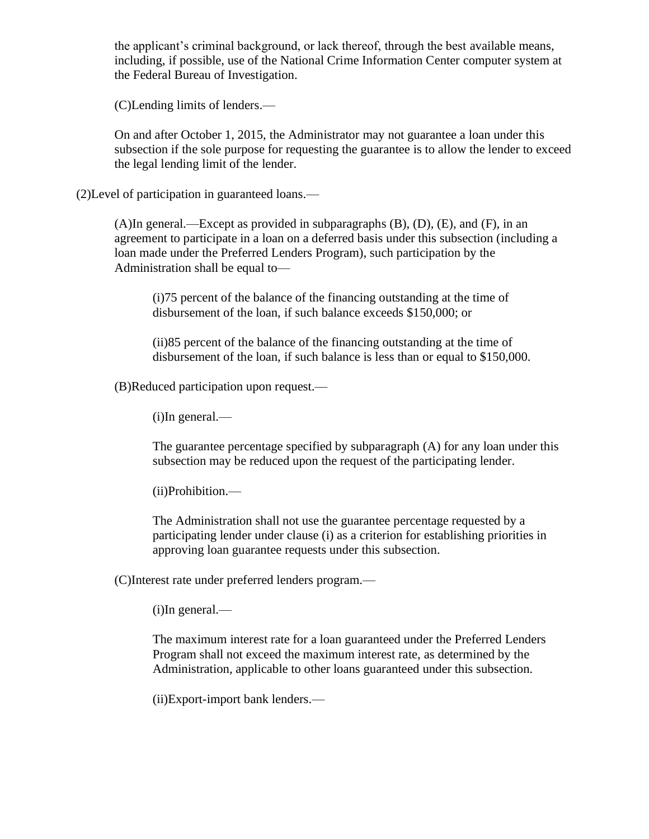the applicant's criminal background, or lack thereof, through the best available means, including, if possible, use of the National Crime Information Center computer system at the Federal Bureau of Investigation.

(C)Lending limits of lenders.—

On and after October 1, 2015, the Administrator may not guarantee a loan under this subsection if the sole purpose for requesting the guarantee is to allow the lender to exceed the legal lending limit of the lender.

(2)Level of participation in guaranteed loans.—

(A)In general.—Except as provided in subparagraphs (B), (D), (E), and (F), in an agreement to participate in a loan on a deferred basis under this subsection (including a loan made under the Preferred Lenders Program), such participation by the Administration shall be equal to—

(i)75 percent of the balance of the financing outstanding at the time of disbursement of the loan, if such balance exceeds \$150,000; or

(ii)85 percent of the balance of the financing outstanding at the time of disbursement of the loan, if such balance is less than or equal to \$150,000.

(B)Reduced participation upon request.—

(i)In general.—

The guarantee percentage specified by subparagraph (A) for any loan under this subsection may be reduced upon the request of the participating lender.

(ii)Prohibition.—

The Administration shall not use the guarantee percentage requested by a participating lender under clause (i) as a criterion for establishing priorities in approving loan guarantee requests under this subsection.

(C)Interest rate under preferred lenders program.—

(i)In general.—

The maximum interest rate for a loan guaranteed under the Preferred Lenders Program shall not exceed the maximum interest rate, as determined by the Administration, applicable to other loans guaranteed under this subsection.

(ii)Export-import bank lenders.—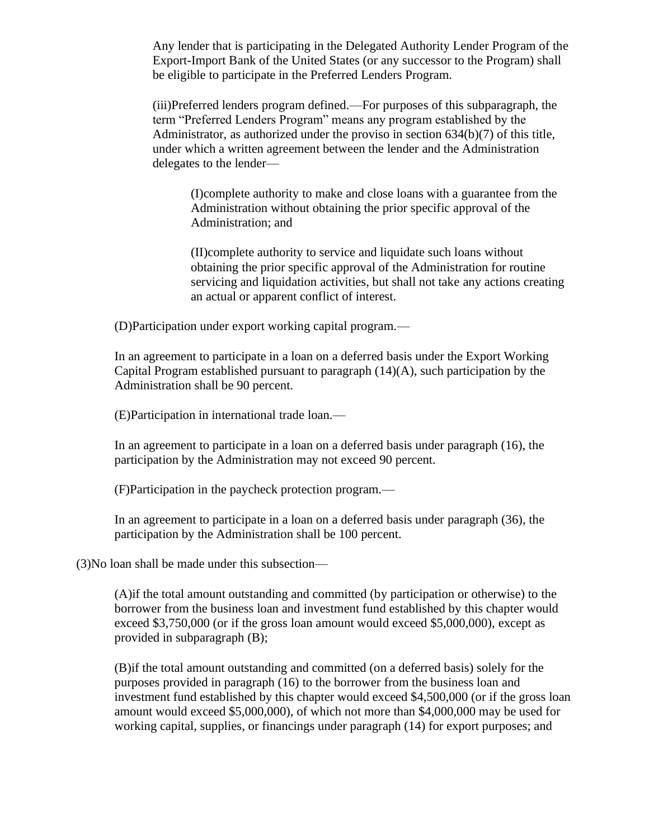Any lender that is participating in the Delegated Authority Lender Program of the Export-Import Bank of the United States (or any successor to the Program) shall be eligible to participate in the Preferred Lenders Program.

(iii)Preferred lenders program defined.—For purposes of this subparagraph, the term "Preferred Lenders Program" means any program established by the Administrator, as authorized under the proviso in section 634(b)(7) of this title, under which a written agreement between the lender and the Administration delegates to the lender—

(I)complete authority to make and close loans with a guarantee from the Administration without obtaining the prior specific approval of the Administration; and

(II)complete authority to service and liquidate such loans without obtaining the prior specific approval of the Administration for routine servicing and liquidation activities, but shall not take any actions creating an actual or apparent conflict of interest.

(D)Participation under export working capital program.—

In an agreement to participate in a loan on a deferred basis under the Export Working Capital Program established pursuant to paragraph (14)(A), such participation by the Administration shall be 90 percent.

(E)Participation in international trade loan.—

In an agreement to participate in a loan on a deferred basis under paragraph (16), the participation by the Administration may not exceed 90 percent.

(F)Participation in the paycheck protection program.—

In an agreement to participate in a loan on a deferred basis under paragraph (36), the participation by the Administration shall be 100 percent.

(3)No loan shall be made under this subsection—

(A)if the total amount outstanding and committed (by participation or otherwise) to the borrower from the business loan and investment fund established by this chapter would exceed \$3,750,000 (or if the gross loan amount would exceed \$5,000,000), except as provided in subparagraph (B);

(B)if the total amount outstanding and committed (on a deferred basis) solely for the purposes provided in paragraph (16) to the borrower from the business loan and investment fund established by this chapter would exceed \$4,500,000 (or if the gross loan amount would exceed \$5,000,000), of which not more than \$4,000,000 may be used for working capital, supplies, or financings under paragraph (14) for export purposes; and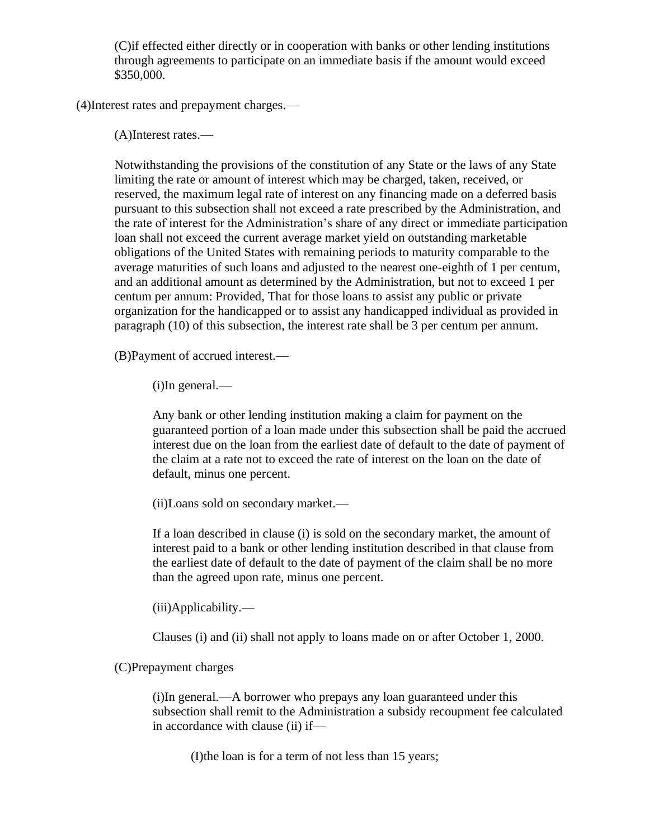(C)if effected either directly or in cooperation with banks or other lending institutions through agreements to participate on an immediate basis if the amount would exceed \$350,000.

(4)Interest rates and prepayment charges.—

(A)Interest rates.—

Notwithstanding the provisions of the constitution of any State or the laws of any State limiting the rate or amount of interest which may be charged, taken, received, or reserved, the maximum legal rate of interest on any financing made on a deferred basis pursuant to this subsection shall not exceed a rate prescribed by the Administration, and the rate of interest for the Administration's share of any direct or immediate participation loan shall not exceed the current average market yield on outstanding marketable obligations of the United States with remaining periods to maturity comparable to the average maturities of such loans and adjusted to the nearest one-eighth of 1 per centum, and an additional amount as determined by the Administration, but not to exceed 1 per centum per annum: Provided, That for those loans to assist any public or private organization for the handicapped or to assist any handicapped individual as provided in paragraph (10) of this subsection, the interest rate shall be 3 per centum per annum.

(B)Payment of accrued interest.—

(i)In general.—

Any bank or other lending institution making a claim for payment on the guaranteed portion of a loan made under this subsection shall be paid the accrued interest due on the loan from the earliest date of default to the date of payment of the claim at a rate not to exceed the rate of interest on the loan on the date of default, minus one percent.

(ii)Loans sold on secondary market.—

If a loan described in clause (i) is sold on the secondary market, the amount of interest paid to a bank or other lending institution described in that clause from the earliest date of default to the date of payment of the claim shall be no more than the agreed upon rate, minus one percent.

(iii)Applicability.—

Clauses (i) and (ii) shall not apply to loans made on or after October 1, 2000.

(C)Prepayment charges

(i)In general.—A borrower who prepays any loan guaranteed under this subsection shall remit to the Administration a subsidy recoupment fee calculated in accordance with clause (ii) if—

(I)the loan is for a term of not less than 15 years;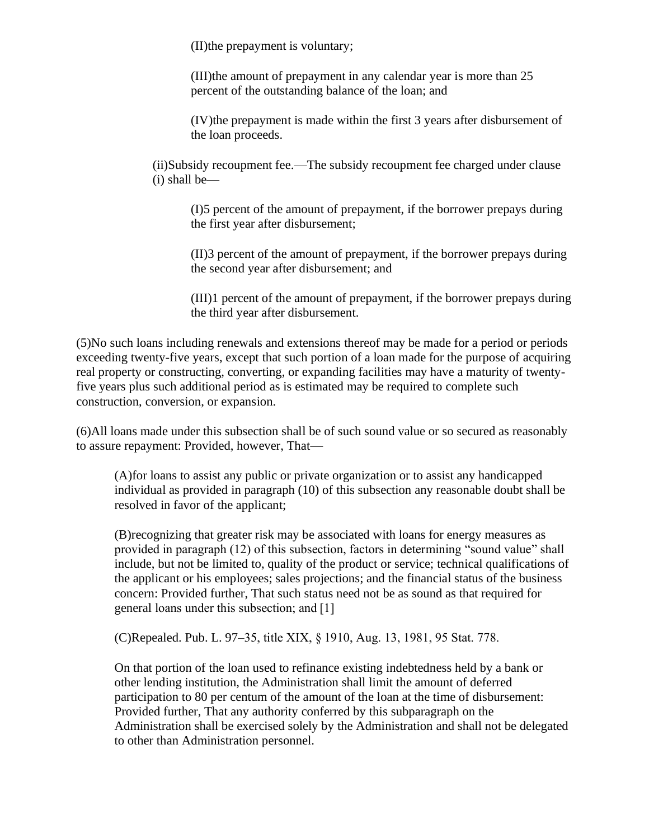(II)the prepayment is voluntary;

(III)the amount of prepayment in any calendar year is more than 25 percent of the outstanding balance of the loan; and

(IV)the prepayment is made within the first 3 years after disbursement of the loan proceeds.

(ii)Subsidy recoupment fee.—The subsidy recoupment fee charged under clause (i) shall be—

(I)5 percent of the amount of prepayment, if the borrower prepays during the first year after disbursement;

(II)3 percent of the amount of prepayment, if the borrower prepays during the second year after disbursement; and

(III)1 percent of the amount of prepayment, if the borrower prepays during the third year after disbursement.

(5)No such loans including renewals and extensions thereof may be made for a period or periods exceeding twenty-five years, except that such portion of a loan made for the purpose of acquiring real property or constructing, converting, or expanding facilities may have a maturity of twentyfive years plus such additional period as is estimated may be required to complete such construction, conversion, or expansion.

(6)All loans made under this subsection shall be of such sound value or so secured as reasonably to assure repayment: Provided, however, That—

(A)for loans to assist any public or private organization or to assist any handicapped individual as provided in paragraph (10) of this subsection any reasonable doubt shall be resolved in favor of the applicant;

(B)recognizing that greater risk may be associated with loans for energy measures as provided in paragraph (12) of this subsection, factors in determining "sound value" shall include, but not be limited to, quality of the product or service; technical qualifications of the applicant or his employees; sales projections; and the financial status of the business concern: Provided further, That such status need not be as sound as that required for general loans under this subsection; and [1]

(C)Repealed. Pub. L. 97–35, title XIX, § 1910, Aug. 13, 1981, 95 Stat. 778.

On that portion of the loan used to refinance existing indebtedness held by a bank or other lending institution, the Administration shall limit the amount of deferred participation to 80 per centum of the amount of the loan at the time of disbursement: Provided further, That any authority conferred by this subparagraph on the Administration shall be exercised solely by the Administration and shall not be delegated to other than Administration personnel.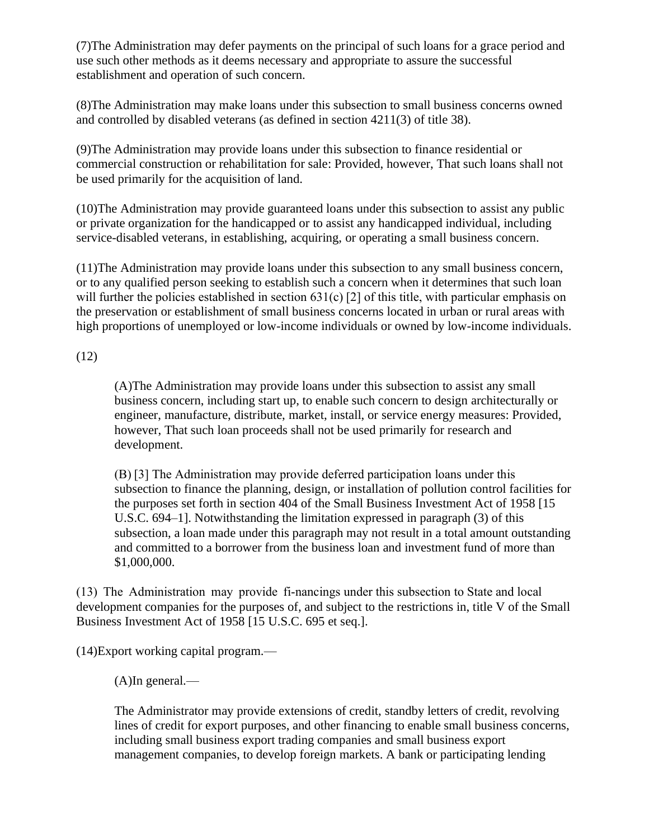(7)The Administration may defer payments on the principal of such loans for a grace period and use such other methods as it deems necessary and appropriate to assure the successful establishment and operation of such concern.

(8)The Administration may make loans under this subsection to small business concerns owned and controlled by disabled veterans (as defined in section 4211(3) of title 38).

(9)The Administration may provide loans under this subsection to finance residential or commercial construction or rehabilitation for sale: Provided, however, That such loans shall not be used primarily for the acquisition of land.

(10)The Administration may provide guaranteed loans under this subsection to assist any public or private organization for the handicapped or to assist any handicapped individual, including service-disabled veterans, in establishing, acquiring, or operating a small business concern.

(11)The Administration may provide loans under this subsection to any small business concern, or to any qualified person seeking to establish such a concern when it determines that such loan will further the policies established in section 631(c) [2] of this title, with particular emphasis on the preservation or establishment of small business concerns located in urban or rural areas with high proportions of unemployed or low-income individuals or owned by low-income individuals.

(12)

(A)The Administration may provide loans under this subsection to assist any small business concern, including start up, to enable such concern to design architecturally or engineer, manufacture, distribute, market, install, or service energy measures: Provided, however, That such loan proceeds shall not be used primarily for research and development.

(B) [3] The Administration may provide deferred participation loans under this subsection to finance the planning, design, or installation of pollution control facilities for the purposes set forth in section 404 of the Small Business Investment Act of 1958 [15 U.S.C. 694–1]. Notwithstanding the limitation expressed in paragraph (3) of this subsection, a loan made under this paragraph may not result in a total amount outstanding and committed to a borrower from the business loan and investment fund of more than \$1,000,000.

(13)  The  Administration  may  provide  financings under this subsection to State and local development companies for the purposes of, and subject to the restrictions in, title V of the Small Business Investment Act of 1958 [15 U.S.C. 695 et seq.].

(14)Export working capital program.—

(A)In general.—

The Administrator may provide extensions of credit, standby letters of credit, revolving lines of credit for export purposes, and other financing to enable small business concerns, including small business export trading companies and small business export management companies, to develop foreign markets. A bank or participating lending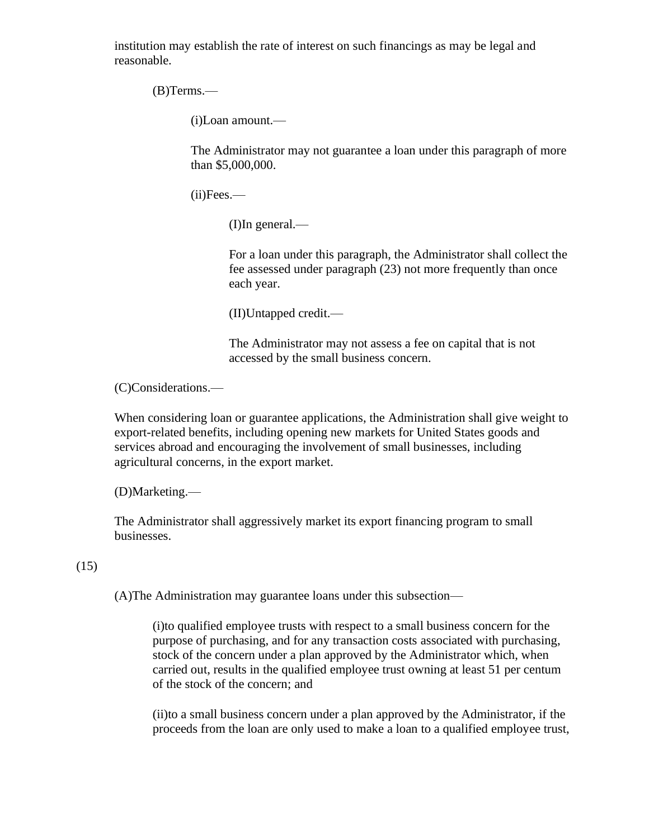institution may establish the rate of interest on such financings as may be legal and reasonable.

(B)Terms.—

(i)Loan amount.—

The Administrator may not guarantee a loan under this paragraph of more than \$5,000,000.

(ii)Fees.—

(I)In general.—

For a loan under this paragraph, the Administrator shall collect the fee assessed under paragraph (23) not more frequently than once each year.

(II)Untapped credit.—

The Administrator may not assess a fee on capital that is not accessed by the small business concern.

(C)Considerations.—

When considering loan or guarantee applications, the Administration shall give weight to export-related benefits, including opening new markets for United States goods and services abroad and encouraging the involvement of small businesses, including agricultural concerns, in the export market.

(D)Marketing.—

The Administrator shall aggressively market its export financing program to small businesses.

(15)

(A)The Administration may guarantee loans under this subsection—

(i)to qualified employee trusts with respect to a small business concern for the purpose of purchasing, and for any transaction costs associated with purchasing, stock of the concern under a plan approved by the Administrator which, when carried out, results in the qualified employee trust owning at least 51 per centum of the stock of the concern; and

(ii)to a small business concern under a plan approved by the Administrator, if the proceeds from the loan are only used to make a loan to a qualified employee trust,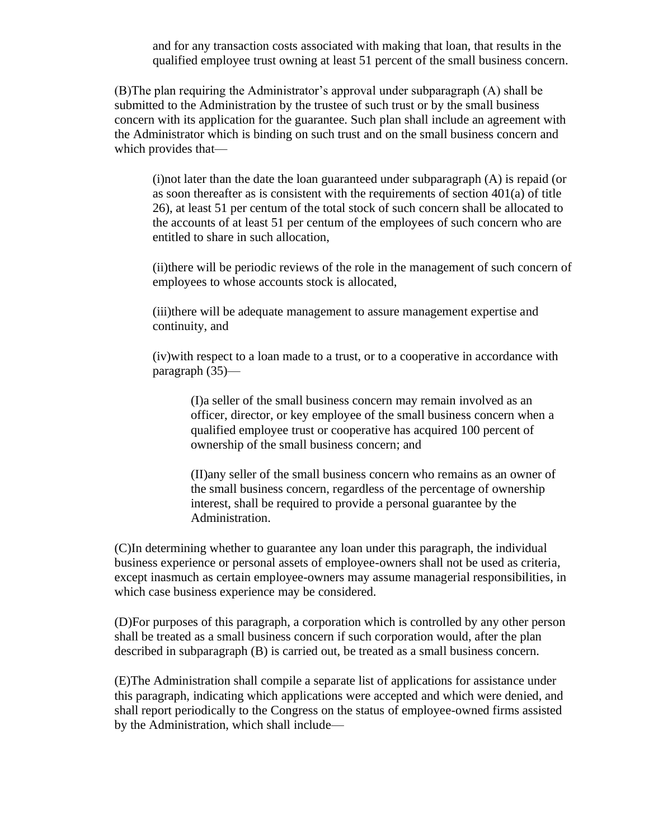and for any transaction costs associated with making that loan, that results in the qualified employee trust owning at least 51 percent of the small business concern.

(B)The plan requiring the Administrator's approval under subparagraph (A) shall be submitted to the Administration by the trustee of such trust or by the small business concern with its application for the guarantee. Such plan shall include an agreement with the Administrator which is binding on such trust and on the small business concern and which provides that—

 $(i)$ not later than the date the loan guaranteed under subparagraph  $(A)$  is repaid (or as soon thereafter as is consistent with the requirements of section  $401(a)$  of title 26), at least 51 per centum of the total stock of such concern shall be allocated to the accounts of at least 51 per centum of the employees of such concern who are entitled to share in such allocation,

(ii)there will be periodic reviews of the role in the management of such concern of employees to whose accounts stock is allocated,

(iii)there will be adequate management to assure management expertise and continuity, and

(iv)with respect to a loan made to a trust, or to a cooperative in accordance with paragraph (35)—

(I)a seller of the small business concern may remain involved as an officer, director, or key employee of the small business concern when a qualified employee trust or cooperative has acquired 100 percent of ownership of the small business concern; and

(II)any seller of the small business concern who remains as an owner of the small business concern, regardless of the percentage of ownership interest, shall be required to provide a personal guarantee by the Administration.

(C)In determining whether to guarantee any loan under this paragraph, the individual business experience or personal assets of employee-owners shall not be used as criteria, except inasmuch as certain employee-owners may assume managerial responsibilities, in which case business experience may be considered.

(D)For purposes of this paragraph, a corporation which is controlled by any other person shall be treated as a small business concern if such corporation would, after the plan described in subparagraph (B) is carried out, be treated as a small business concern.

(E)The Administration shall compile a separate list of applications for assistance under this paragraph, indicating which applications were accepted and which were denied, and shall report periodically to the Congress on the status of employee-owned firms assisted by the Administration, which shall include—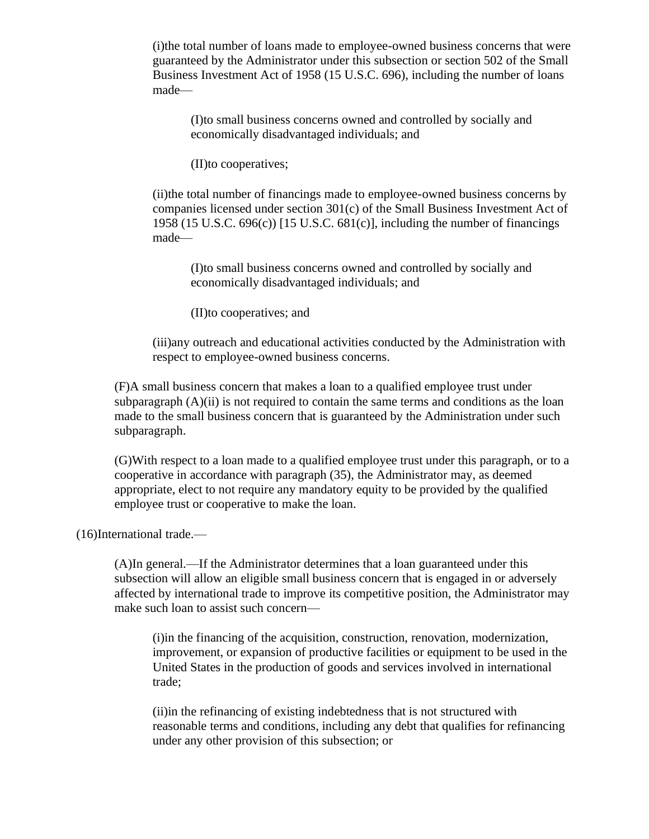(i)the total number of loans made to employee-owned business concerns that were guaranteed by the Administrator under this subsection or section 502 of the Small Business Investment Act of 1958 (15 U.S.C. 696), including the number of loans made—

(I)to small business concerns owned and controlled by socially and economically disadvantaged individuals; and

(II)to cooperatives;

(ii)the total number of financings made to employee-owned business concerns by companies licensed under section 301(c) of the Small Business Investment Act of 1958 (15 U.S.C. 696(c)) [15 U.S.C. 681(c)], including the number of financings made—

(I)to small business concerns owned and controlled by socially and economically disadvantaged individuals; and

(II)to cooperatives; and

(iii)any outreach and educational activities conducted by the Administration with respect to employee-owned business concerns.

(F)A small business concern that makes a loan to a qualified employee trust under subparagraph  $(A)(ii)$  is not required to contain the same terms and conditions as the loan made to the small business concern that is guaranteed by the Administration under such subparagraph.

(G)With respect to a loan made to a qualified employee trust under this paragraph, or to a cooperative in accordance with paragraph (35), the Administrator may, as deemed appropriate, elect to not require any mandatory equity to be provided by the qualified employee trust or cooperative to make the loan.

(16)International trade.—

(A)In general.—If the Administrator determines that a loan guaranteed under this subsection will allow an eligible small business concern that is engaged in or adversely affected by international trade to improve its competitive position, the Administrator may make such loan to assist such concern—

(i)in the financing of the acquisition, construction, renovation, modernization, improvement, or expansion of productive facilities or equipment to be used in the United States in the production of goods and services involved in international trade;

(ii)in the refinancing of existing indebtedness that is not structured with reasonable terms and conditions, including any debt that qualifies for refinancing under any other provision of this subsection; or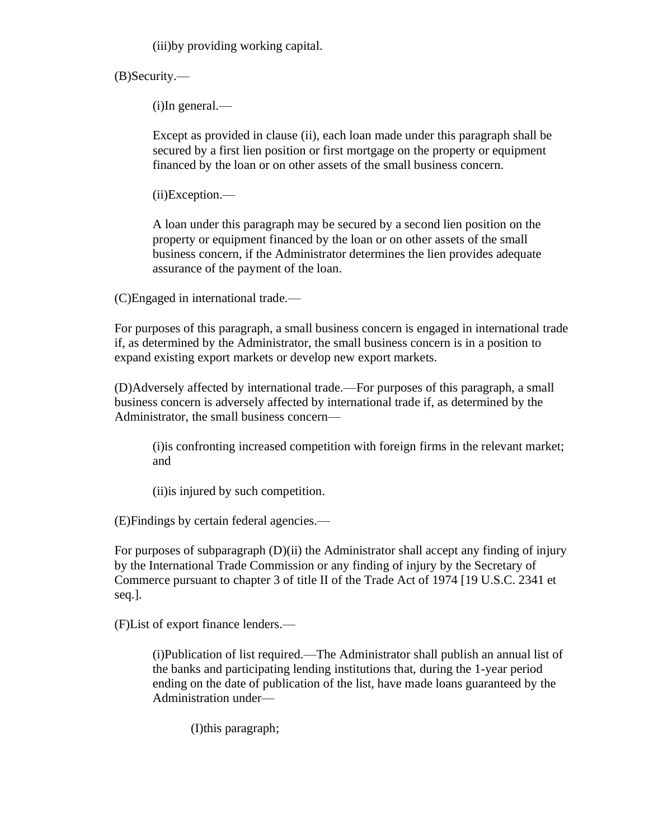(iii)by providing working capital.

(B)Security.—

(i)In general.—

Except as provided in clause (ii), each loan made under this paragraph shall be secured by a first lien position or first mortgage on the property or equipment financed by the loan or on other assets of the small business concern.

(ii)Exception.—

A loan under this paragraph may be secured by a second lien position on the property or equipment financed by the loan or on other assets of the small business concern, if the Administrator determines the lien provides adequate assurance of the payment of the loan.

(C)Engaged in international trade.—

For purposes of this paragraph, a small business concern is engaged in international trade if, as determined by the Administrator, the small business concern is in a position to expand existing export markets or develop new export markets.

(D)Adversely affected by international trade.—For purposes of this paragraph, a small business concern is adversely affected by international trade if, as determined by the Administrator, the small business concern—

(i)is confronting increased competition with foreign firms in the relevant market; and

(ii)is injured by such competition.

(E)Findings by certain federal agencies.—

For purposes of subparagraph (D)(ii) the Administrator shall accept any finding of injury by the International Trade Commission or any finding of injury by the Secretary of Commerce pursuant to chapter 3 of title II of the Trade Act of 1974 [19 U.S.C. 2341 et seq.].

(F)List of export finance lenders.—

(i)Publication of list required.—The Administrator shall publish an annual list of the banks and participating lending institutions that, during the 1-year period ending on the date of publication of the list, have made loans guaranteed by the Administration under—

(I)this paragraph;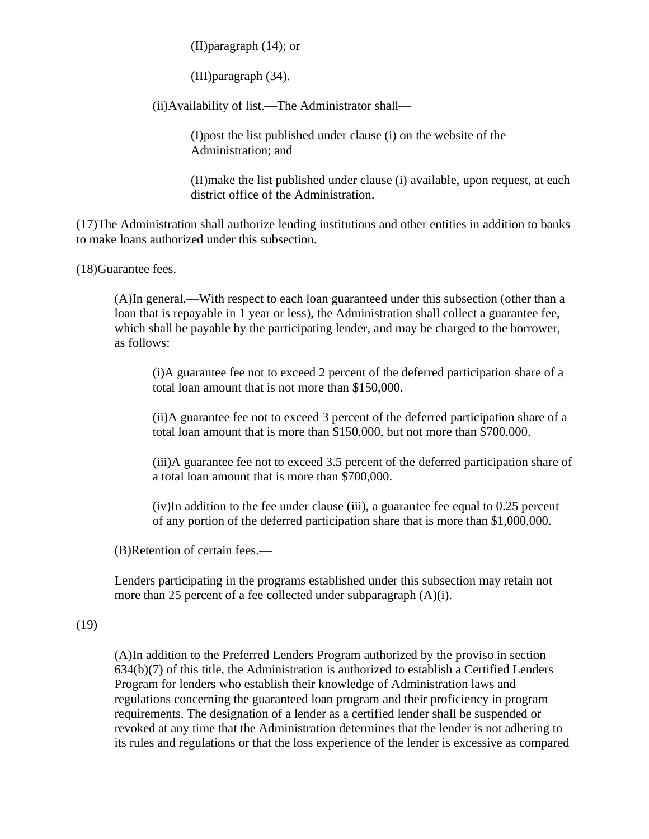(II)paragraph (14); or

(III)paragraph (34).

(ii)Availability of list.—The Administrator shall—

(I)post the list published under clause (i) on the website of the Administration; and

(II)make the list published under clause (i) available, upon request, at each district office of the Administration.

(17)The Administration shall authorize lending institutions and other entities in addition to banks to make loans authorized under this subsection.

(18)Guarantee fees.—

(A)In general.—With respect to each loan guaranteed under this subsection (other than a loan that is repayable in 1 year or less), the Administration shall collect a guarantee fee, which shall be payable by the participating lender, and may be charged to the borrower, as follows:

(i)A guarantee fee not to exceed 2 percent of the deferred participation share of a total loan amount that is not more than \$150,000.

(ii)A guarantee fee not to exceed 3 percent of the deferred participation share of a total loan amount that is more than \$150,000, but not more than \$700,000.

(iii)A guarantee fee not to exceed 3.5 percent of the deferred participation share of a total loan amount that is more than \$700,000.

(iv)In addition to the fee under clause (iii), a guarantee fee equal to 0.25 percent of any portion of the deferred participation share that is more than \$1,000,000.

(B)Retention of certain fees.—

Lenders participating in the programs established under this subsection may retain not more than 25 percent of a fee collected under subparagraph (A)(i).

## (19)

(A)In addition to the Preferred Lenders Program authorized by the proviso in section 634(b)(7) of this title, the Administration is authorized to establish a Certified Lenders Program for lenders who establish their knowledge of Administration laws and regulations concerning the guaranteed loan program and their proficiency in program requirements. The designation of a lender as a certified lender shall be suspended or revoked at any time that the Administration determines that the lender is not adhering to its rules and regulations or that the loss experience of the lender is excessive as compared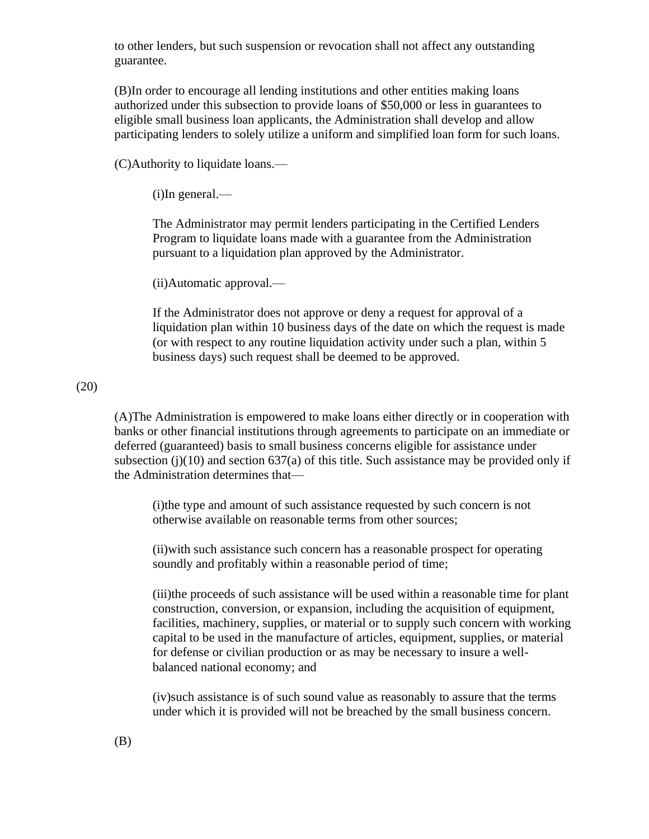to other lenders, but such suspension or revocation shall not affect any outstanding guarantee.

(B)In order to encourage all lending institutions and other entities making loans authorized under this subsection to provide loans of \$50,000 or less in guarantees to eligible small business loan applicants, the Administration shall develop and allow participating lenders to solely utilize a uniform and simplified loan form for such loans.

(C)Authority to liquidate loans.—

(i)In general.—

The Administrator may permit lenders participating in the Certified Lenders Program to liquidate loans made with a guarantee from the Administration pursuant to a liquidation plan approved by the Administrator.

(ii)Automatic approval.—

If the Administrator does not approve or deny a request for approval of a liquidation plan within 10 business days of the date on which the request is made (or with respect to any routine liquidation activity under such a plan, within 5 business days) such request shall be deemed to be approved.

#### (20)

(A)The Administration is empowered to make loans either directly or in cooperation with banks or other financial institutions through agreements to participate on an immediate or deferred (guaranteed) basis to small business concerns eligible for assistance under subsection (j)(10) and section  $637(a)$  of this title. Such assistance may be provided only if the Administration determines that—

(i)the type and amount of such assistance requested by such concern is not otherwise available on reasonable terms from other sources;

(ii)with such assistance such concern has a reasonable prospect for operating soundly and profitably within a reasonable period of time;

(iii)the proceeds of such assistance will be used within a reasonable time for plant construction, conversion, or expansion, including the acquisition of equipment, facilities, machinery, supplies, or material or to supply such concern with working capital to be used in the manufacture of articles, equipment, supplies, or material for defense or civilian production or as may be necessary to insure a wellbalanced national economy; and

(iv)such assistance is of such sound value as reasonably to assure that the terms under which it is provided will not be breached by the small business concern.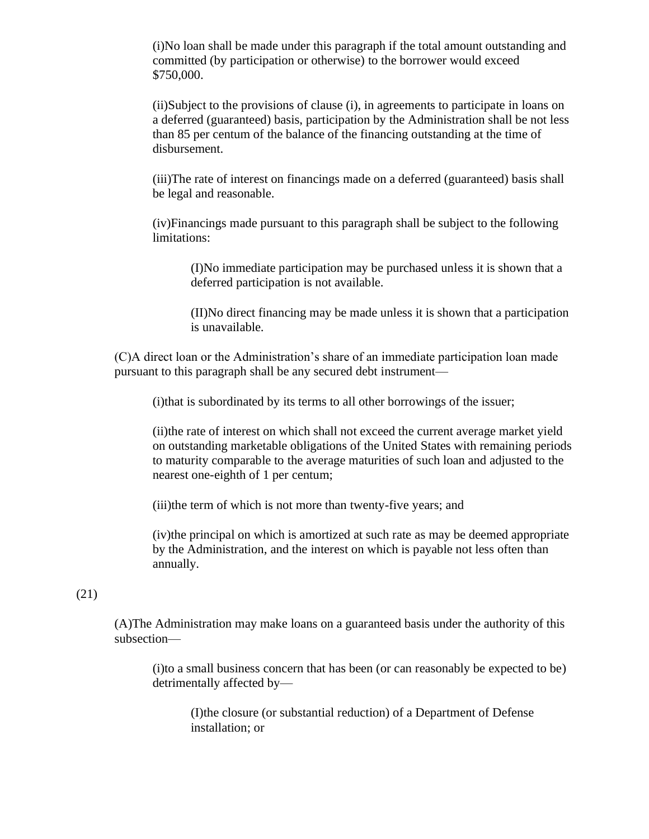(i)No loan shall be made under this paragraph if the total amount outstanding and committed (by participation or otherwise) to the borrower would exceed \$750,000.

(ii)Subject to the provisions of clause (i), in agreements to participate in loans on a deferred (guaranteed) basis, participation by the Administration shall be not less than 85 per centum of the balance of the financing outstanding at the time of disbursement.

(iii)The rate of interest on financings made on a deferred (guaranteed) basis shall be legal and reasonable.

(iv)Financings made pursuant to this paragraph shall be subject to the following limitations:

(I)No immediate participation may be purchased unless it is shown that a deferred participation is not available.

(II)No direct financing may be made unless it is shown that a participation is unavailable.

(C)A direct loan or the Administration's share of an immediate participation loan made pursuant to this paragraph shall be any secured debt instrument—

(i)that is subordinated by its terms to all other borrowings of the issuer;

(ii)the rate of interest on which shall not exceed the current average market yield on outstanding marketable obligations of the United States with remaining periods to maturity comparable to the average maturities of such loan and adjusted to the nearest one-eighth of 1 per centum;

(iii)the term of which is not more than twenty-five years; and

(iv)the principal on which is amortized at such rate as may be deemed appropriate by the Administration, and the interest on which is payable not less often than annually.

### (21)

(A)The Administration may make loans on a guaranteed basis under the authority of this subsection—

(i)to a small business concern that has been (or can reasonably be expected to be) detrimentally affected by—

(I)the closure (or substantial reduction) of a Department of Defense installation; or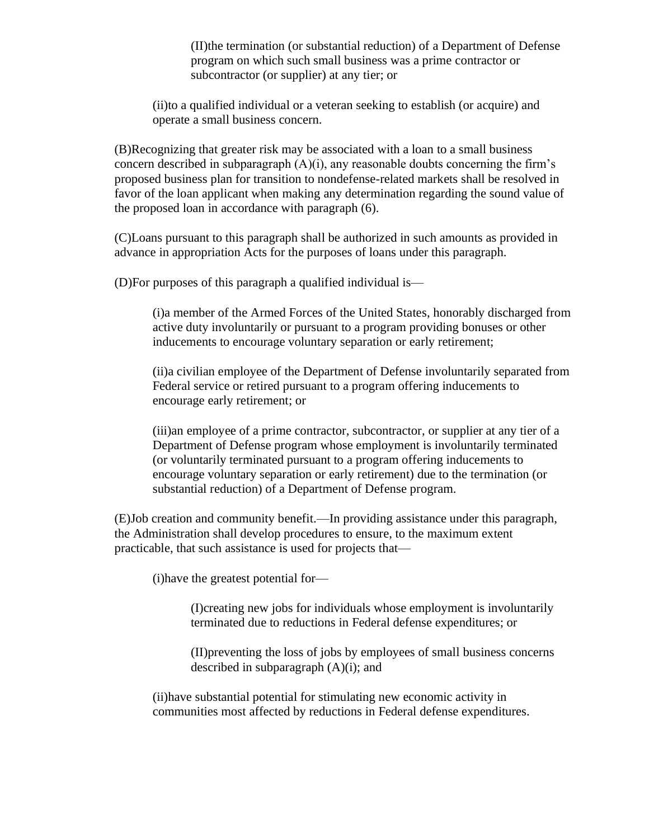(II)the termination (or substantial reduction) of a Department of Defense program on which such small business was a prime contractor or subcontractor (or supplier) at any tier; or

(ii)to a qualified individual or a veteran seeking to establish (or acquire) and operate a small business concern.

(B)Recognizing that greater risk may be associated with a loan to a small business concern described in subparagraph  $(A)(i)$ , any reasonable doubts concerning the firm's proposed business plan for transition to nondefense-related markets shall be resolved in favor of the loan applicant when making any determination regarding the sound value of the proposed loan in accordance with paragraph (6).

(C)Loans pursuant to this paragraph shall be authorized in such amounts as provided in advance in appropriation Acts for the purposes of loans under this paragraph.

(D)For purposes of this paragraph a qualified individual is—

(i)a member of the Armed Forces of the United States, honorably discharged from active duty involuntarily or pursuant to a program providing bonuses or other inducements to encourage voluntary separation or early retirement;

(ii)a civilian employee of the Department of Defense involuntarily separated from Federal service or retired pursuant to a program offering inducements to encourage early retirement; or

(iii)an employee of a prime contractor, subcontractor, or supplier at any tier of a Department of Defense program whose employment is involuntarily terminated (or voluntarily terminated pursuant to a program offering inducements to encourage voluntary separation or early retirement) due to the termination (or substantial reduction) of a Department of Defense program.

(E)Job creation and community benefit.—In providing assistance under this paragraph, the Administration shall develop procedures to ensure, to the maximum extent practicable, that such assistance is used for projects that—

(i)have the greatest potential for—

(I)creating new jobs for individuals whose employment is involuntarily terminated due to reductions in Federal defense expenditures; or

(II)preventing the loss of jobs by employees of small business concerns described in subparagraph  $(A)(i)$ ; and

(ii)have substantial potential for stimulating new economic activity in communities most affected by reductions in Federal defense expenditures.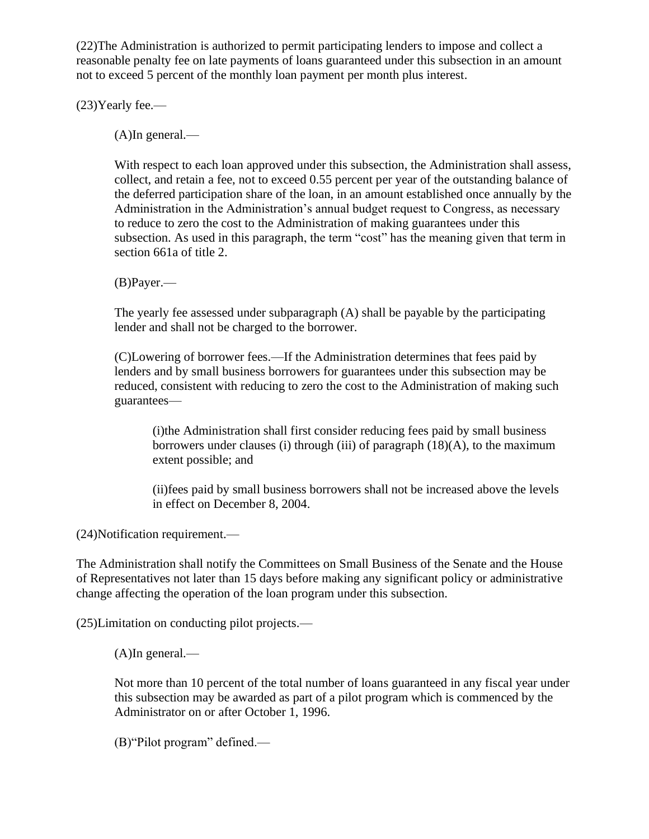(22)The Administration is authorized to permit participating lenders to impose and collect a reasonable penalty fee on late payments of loans guaranteed under this subsection in an amount not to exceed 5 percent of the monthly loan payment per month plus interest.

(23)Yearly fee.—

(A)In general.—

With respect to each loan approved under this subsection, the Administration shall assess, collect, and retain a fee, not to exceed 0.55 percent per year of the outstanding balance of the deferred participation share of the loan, in an amount established once annually by the Administration in the Administration's annual budget request to Congress, as necessary to reduce to zero the cost to the Administration of making guarantees under this subsection. As used in this paragraph, the term "cost" has the meaning given that term in section 661a of title 2.

(B)Payer.—

The yearly fee assessed under subparagraph (A) shall be payable by the participating lender and shall not be charged to the borrower.

(C)Lowering of borrower fees.—If the Administration determines that fees paid by lenders and by small business borrowers for guarantees under this subsection may be reduced, consistent with reducing to zero the cost to the Administration of making such guarantees—

(i)the Administration shall first consider reducing fees paid by small business borrowers under clauses (i) through (iii) of paragraph  $(18)(A)$ , to the maximum extent possible; and

(ii)fees paid by small business borrowers shall not be increased above the levels in effect on December 8, 2004.

(24)Notification requirement.—

The Administration shall notify the Committees on Small Business of the Senate and the House of Representatives not later than 15 days before making any significant policy or administrative change affecting the operation of the loan program under this subsection.

(25)Limitation on conducting pilot projects.—

(A)In general.—

Not more than 10 percent of the total number of loans guaranteed in any fiscal year under this subsection may be awarded as part of a pilot program which is commenced by the Administrator on or after October 1, 1996.

(B)"Pilot program" defined.—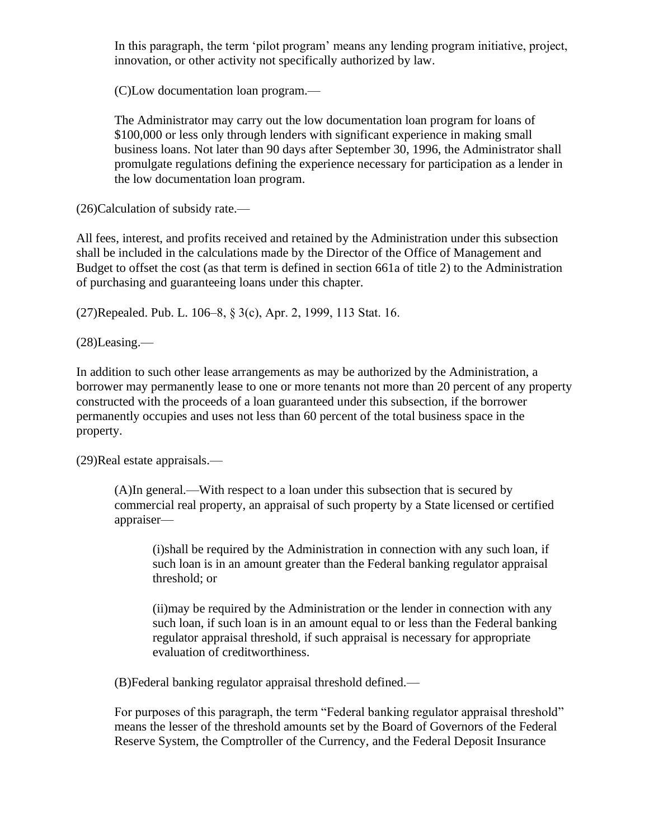In this paragraph, the term 'pilot program' means any lending program initiative, project, innovation, or other activity not specifically authorized by law.

(C)Low documentation loan program.—

The Administrator may carry out the low documentation loan program for loans of \$100,000 or less only through lenders with significant experience in making small business loans. Not later than 90 days after September 30, 1996, the Administrator shall promulgate regulations defining the experience necessary for participation as a lender in the low documentation loan program.

(26)Calculation of subsidy rate.—

All fees, interest, and profits received and retained by the Administration under this subsection shall be included in the calculations made by the Director of the Office of Management and Budget to offset the cost (as that term is defined in section 661a of title 2) to the Administration of purchasing and guaranteeing loans under this chapter.

(27)Repealed. Pub. L. 106–8, § 3(c), Apr. 2, 1999, 113 Stat. 16.

(28)Leasing.—

In addition to such other lease arrangements as may be authorized by the Administration, a borrower may permanently lease to one or more tenants not more than 20 percent of any property constructed with the proceeds of a loan guaranteed under this subsection, if the borrower permanently occupies and uses not less than 60 percent of the total business space in the property.

(29)Real estate appraisals.—

(A)In general.—With respect to a loan under this subsection that is secured by commercial real property, an appraisal of such property by a State licensed or certified appraiser—

(i)shall be required by the Administration in connection with any such loan, if such loan is in an amount greater than the Federal banking regulator appraisal threshold; or

(ii)may be required by the Administration or the lender in connection with any such loan, if such loan is in an amount equal to or less than the Federal banking regulator appraisal threshold, if such appraisal is necessary for appropriate evaluation of creditworthiness.

(B)Federal banking regulator appraisal threshold defined.—

For purposes of this paragraph, the term "Federal banking regulator appraisal threshold" means the lesser of the threshold amounts set by the Board of Governors of the Federal Reserve System, the Comptroller of the Currency, and the Federal Deposit Insurance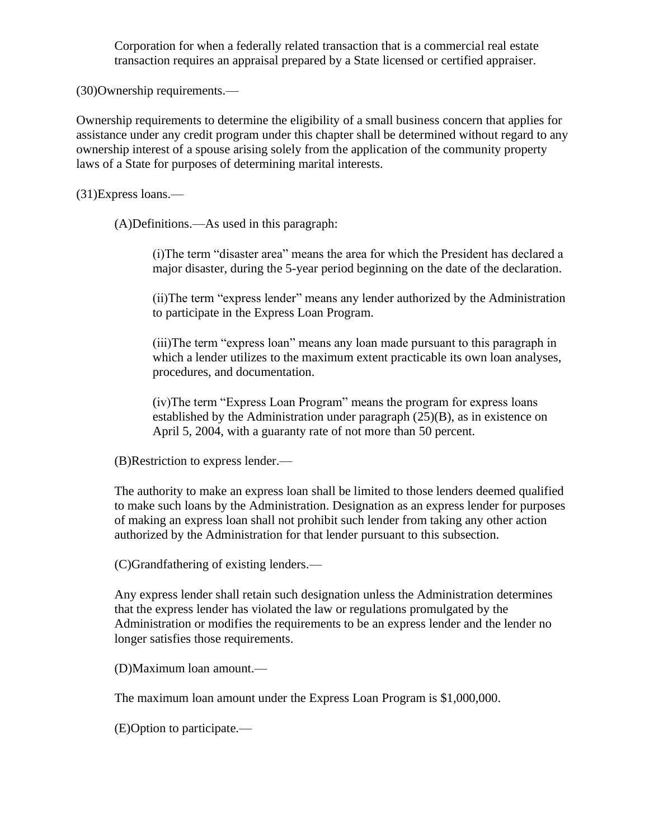Corporation for when a federally related transaction that is a commercial real estate transaction requires an appraisal prepared by a State licensed or certified appraiser.

(30)Ownership requirements.—

Ownership requirements to determine the eligibility of a small business concern that applies for assistance under any credit program under this chapter shall be determined without regard to any ownership interest of a spouse arising solely from the application of the community property laws of a State for purposes of determining marital interests.

(31)Express loans.—

(A)Definitions.—As used in this paragraph:

(i)The term "disaster area" means the area for which the President has declared a major disaster, during the 5-year period beginning on the date of the declaration.

(ii)The term "express lender" means any lender authorized by the Administration to participate in the Express Loan Program.

(iii)The term "express loan" means any loan made pursuant to this paragraph in which a lender utilizes to the maximum extent practicable its own loan analyses, procedures, and documentation.

(iv)The term "Express Loan Program" means the program for express loans established by the Administration under paragraph (25)(B), as in existence on April 5, 2004, with a guaranty rate of not more than 50 percent.

(B)Restriction to express lender.—

The authority to make an express loan shall be limited to those lenders deemed qualified to make such loans by the Administration. Designation as an express lender for purposes of making an express loan shall not prohibit such lender from taking any other action authorized by the Administration for that lender pursuant to this subsection.

(C)Grandfathering of existing lenders.—

Any express lender shall retain such designation unless the Administration determines that the express lender has violated the law or regulations promulgated by the Administration or modifies the requirements to be an express lender and the lender no longer satisfies those requirements.

(D)Maximum loan amount.—

The maximum loan amount under the Express Loan Program is \$1,000,000.

(E)Option to participate.—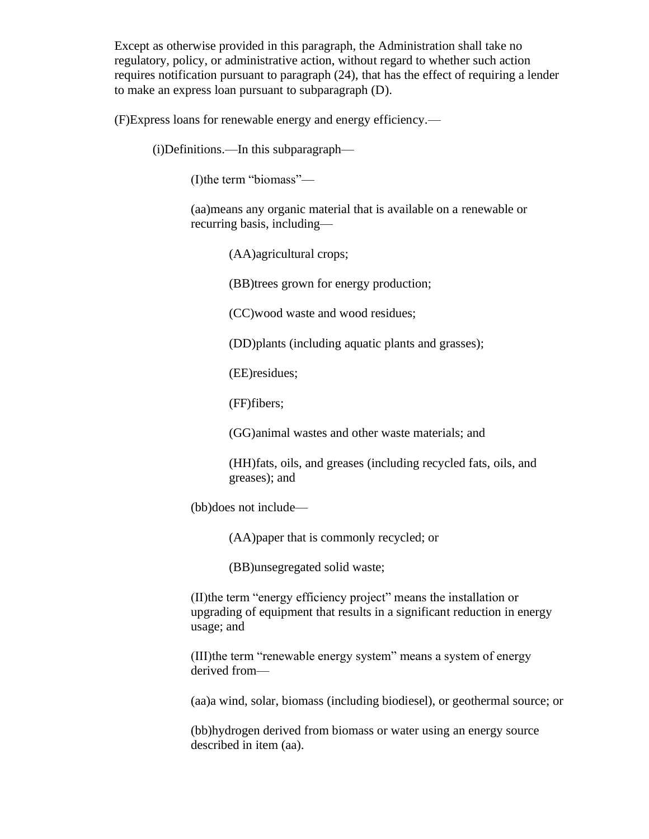Except as otherwise provided in this paragraph, the Administration shall take no regulatory, policy, or administrative action, without regard to whether such action requires notification pursuant to paragraph (24), that has the effect of requiring a lender to make an express loan pursuant to subparagraph (D).

(F)Express loans for renewable energy and energy efficiency.—

(i)Definitions.—In this subparagraph—

(I)the term "biomass"—

(aa)means any organic material that is available on a renewable or recurring basis, including—

(AA)agricultural crops;

(BB)trees grown for energy production;

(CC)wood waste and wood residues;

(DD)plants (including aquatic plants and grasses);

(EE)residues;

(FF)fibers;

(GG)animal wastes and other waste materials; and

(HH)fats, oils, and greases (including recycled fats, oils, and greases); and

(bb)does not include—

(AA)paper that is commonly recycled; or

(BB)unsegregated solid waste;

(II)the term "energy efficiency project" means the installation or upgrading of equipment that results in a significant reduction in energy usage; and

(III)the term "renewable energy system" means a system of energy derived from—

(aa)a wind, solar, biomass (including biodiesel), or geothermal source; or

(bb)hydrogen derived from biomass or water using an energy source described in item (aa).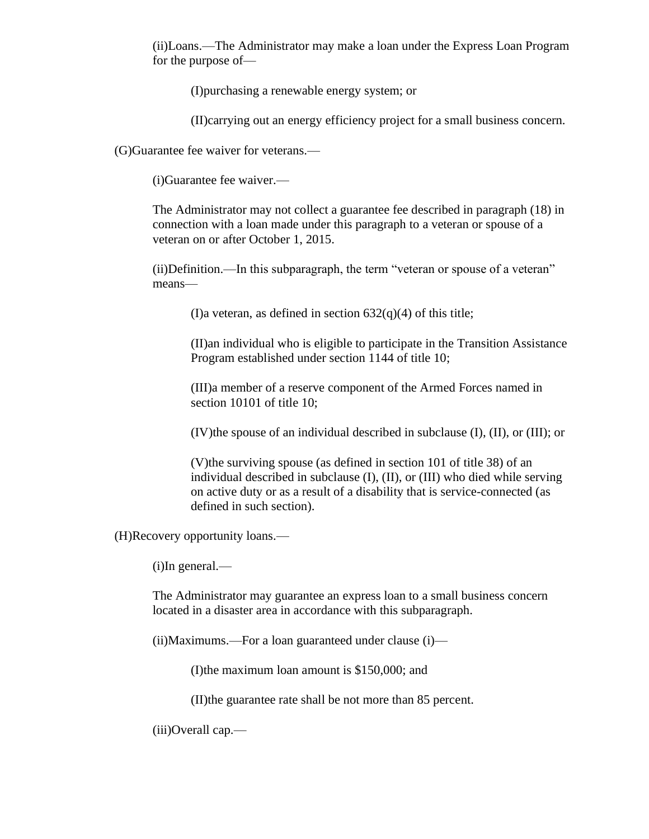(ii)Loans.—The Administrator may make a loan under the Express Loan Program for the purpose of—

(I)purchasing a renewable energy system; or

(II)carrying out an energy efficiency project for a small business concern.

(G)Guarantee fee waiver for veterans.—

(i)Guarantee fee waiver.—

The Administrator may not collect a guarantee fee described in paragraph (18) in connection with a loan made under this paragraph to a veteran or spouse of a veteran on or after October 1, 2015.

(ii)Definition.—In this subparagraph, the term "veteran or spouse of a veteran" means—

(I)a veteran, as defined in section  $632(q)(4)$  of this title;

(II)an individual who is eligible to participate in the Transition Assistance Program established under section 1144 of title 10;

(III)a member of a reserve component of the Armed Forces named in section 10101 of title 10;

(IV)the spouse of an individual described in subclause (I), (II), or (III); or

(V)the surviving spouse (as defined in section 101 of title 38) of an individual described in subclause (I), (II), or (III) who died while serving on active duty or as a result of a disability that is service-connected (as defined in such section).

(H)Recovery opportunity loans.—

(i)In general.—

The Administrator may guarantee an express loan to a small business concern located in a disaster area in accordance with this subparagraph.

(ii)Maximums.—For a loan guaranteed under clause (i)—

(I)the maximum loan amount is \$150,000; and

(II)the guarantee rate shall be not more than 85 percent.

(iii)Overall cap.—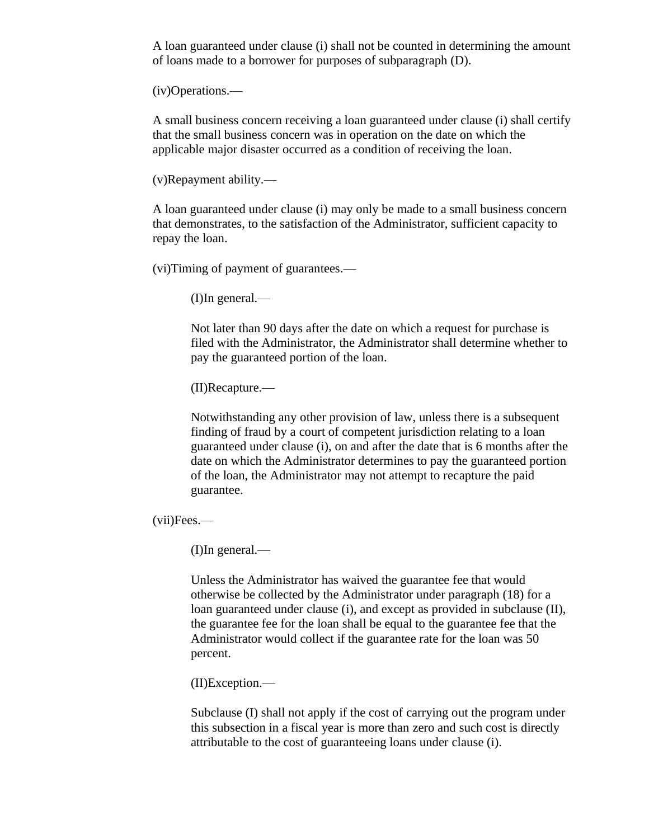A loan guaranteed under clause (i) shall not be counted in determining the amount of loans made to a borrower for purposes of subparagraph (D).

(iv)Operations.—

A small business concern receiving a loan guaranteed under clause (i) shall certify that the small business concern was in operation on the date on which the applicable major disaster occurred as a condition of receiving the loan.

(v)Repayment ability.—

A loan guaranteed under clause (i) may only be made to a small business concern that demonstrates, to the satisfaction of the Administrator, sufficient capacity to repay the loan.

(vi)Timing of payment of guarantees.—

(I)In general.—

Not later than 90 days after the date on which a request for purchase is filed with the Administrator, the Administrator shall determine whether to pay the guaranteed portion of the loan.

(II)Recapture.—

Notwithstanding any other provision of law, unless there is a subsequent finding of fraud by a court of competent jurisdiction relating to a loan guaranteed under clause (i), on and after the date that is 6 months after the date on which the Administrator determines to pay the guaranteed portion of the loan, the Administrator may not attempt to recapture the paid guarantee.

(vii)Fees.—

(I)In general.—

Unless the Administrator has waived the guarantee fee that would otherwise be collected by the Administrator under paragraph (18) for a loan guaranteed under clause (i), and except as provided in subclause (II), the guarantee fee for the loan shall be equal to the guarantee fee that the Administrator would collect if the guarantee rate for the loan was 50 percent.

(II)Exception.—

Subclause (I) shall not apply if the cost of carrying out the program under this subsection in a fiscal year is more than zero and such cost is directly attributable to the cost of guaranteeing loans under clause (i).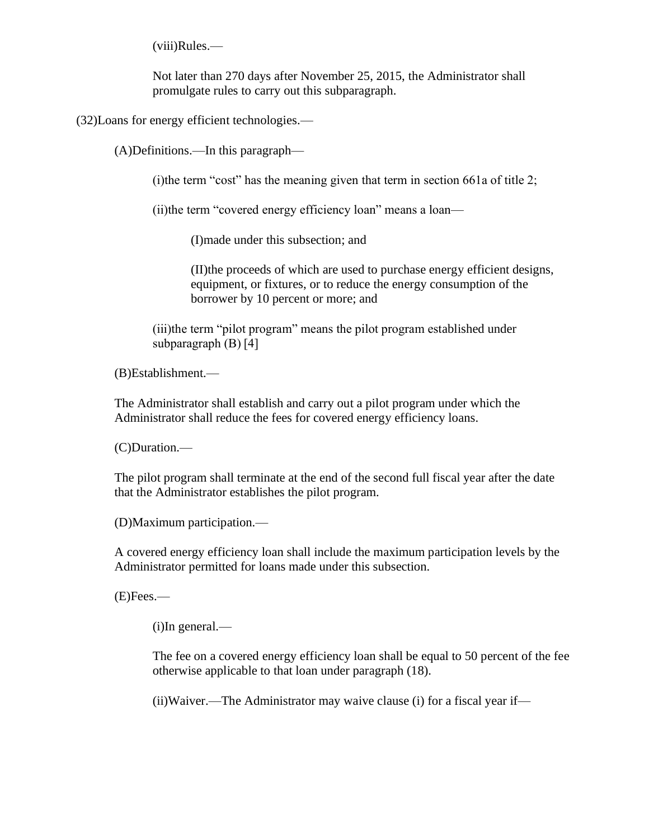(viii)Rules.—

Not later than 270 days after November 25, 2015, the Administrator shall promulgate rules to carry out this subparagraph.

(32)Loans for energy efficient technologies.—

(A)Definitions.—In this paragraph—

(i)the term "cost" has the meaning given that term in section 661a of title 2;

(ii)the term "covered energy efficiency loan" means a loan—

(I)made under this subsection; and

(II)the proceeds of which are used to purchase energy efficient designs, equipment, or fixtures, or to reduce the energy consumption of the borrower by 10 percent or more; and

(iii)the term "pilot program" means the pilot program established under subparagraph (B) [4]

(B)Establishment.—

The Administrator shall establish and carry out a pilot program under which the Administrator shall reduce the fees for covered energy efficiency loans.

(C)Duration.—

The pilot program shall terminate at the end of the second full fiscal year after the date that the Administrator establishes the pilot program.

(D)Maximum participation.—

A covered energy efficiency loan shall include the maximum participation levels by the Administrator permitted for loans made under this subsection.

(E)Fees.—

(i)In general.—

The fee on a covered energy efficiency loan shall be equal to 50 percent of the fee otherwise applicable to that loan under paragraph (18).

(ii)Waiver.—The Administrator may waive clause (i) for a fiscal year if—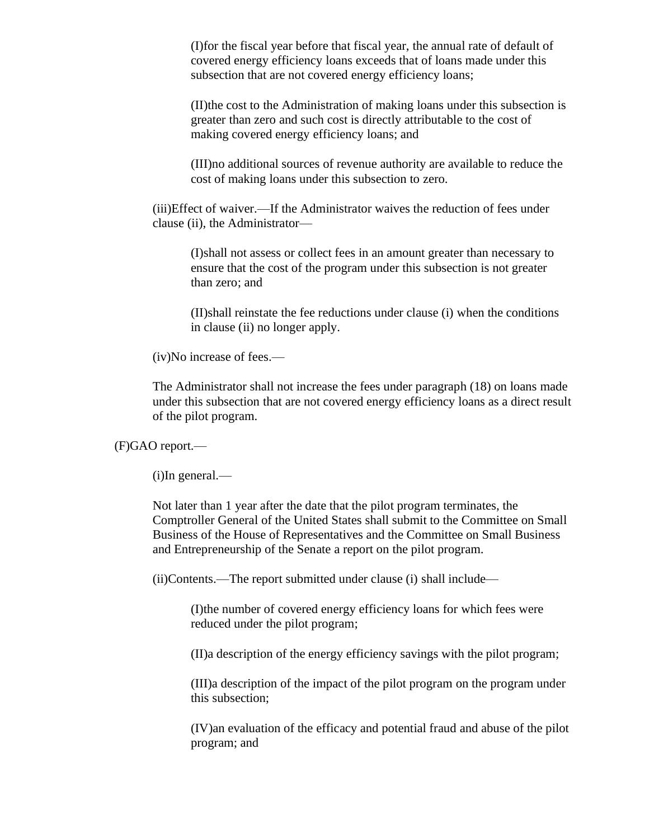(I)for the fiscal year before that fiscal year, the annual rate of default of covered energy efficiency loans exceeds that of loans made under this subsection that are not covered energy efficiency loans;

(II)the cost to the Administration of making loans under this subsection is greater than zero and such cost is directly attributable to the cost of making covered energy efficiency loans; and

(III)no additional sources of revenue authority are available to reduce the cost of making loans under this subsection to zero.

(iii)Effect of waiver.—If the Administrator waives the reduction of fees under clause (ii), the Administrator—

(I)shall not assess or collect fees in an amount greater than necessary to ensure that the cost of the program under this subsection is not greater than zero; and

(II)shall reinstate the fee reductions under clause (i) when the conditions in clause (ii) no longer apply.

(iv)No increase of fees.—

The Administrator shall not increase the fees under paragraph (18) on loans made under this subsection that are not covered energy efficiency loans as a direct result of the pilot program.

(F)GAO report.—

(i)In general.—

Not later than 1 year after the date that the pilot program terminates, the Comptroller General of the United States shall submit to the Committee on Small Business of the House of Representatives and the Committee on Small Business and Entrepreneurship of the Senate a report on the pilot program.

(ii)Contents.—The report submitted under clause (i) shall include—

(I)the number of covered energy efficiency loans for which fees were reduced under the pilot program;

(II)a description of the energy efficiency savings with the pilot program;

(III)a description of the impact of the pilot program on the program under this subsection;

(IV)an evaluation of the efficacy and potential fraud and abuse of the pilot program; and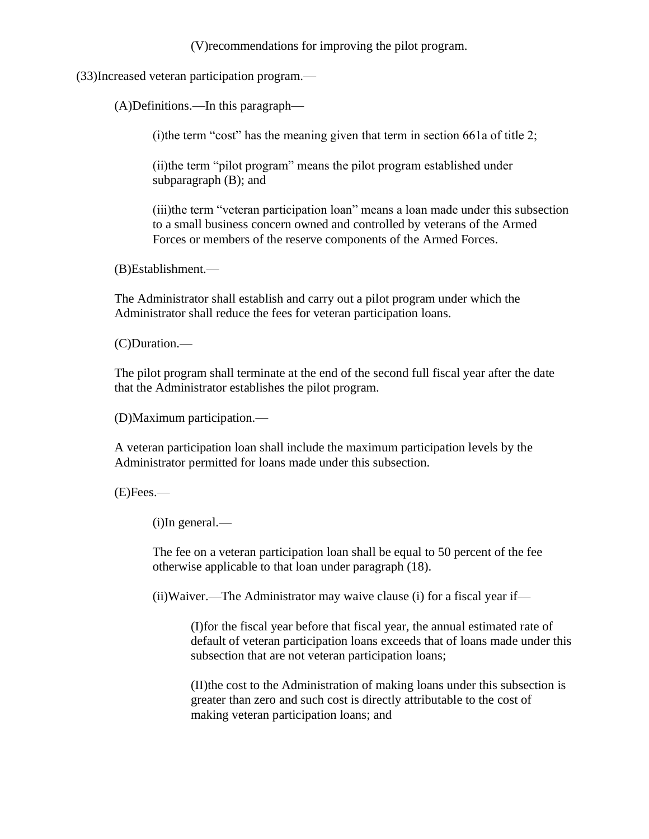(V)recommendations for improving the pilot program.

(33)Increased veteran participation program.—

(A)Definitions.—In this paragraph—

(i)the term "cost" has the meaning given that term in section 661a of title 2;

(ii)the term "pilot program" means the pilot program established under subparagraph (B); and

(iii)the term "veteran participation loan" means a loan made under this subsection to a small business concern owned and controlled by veterans of the Armed Forces or members of the reserve components of the Armed Forces.

(B)Establishment.—

The Administrator shall establish and carry out a pilot program under which the Administrator shall reduce the fees for veteran participation loans.

(C)Duration.—

The pilot program shall terminate at the end of the second full fiscal year after the date that the Administrator establishes the pilot program.

(D)Maximum participation.—

A veteran participation loan shall include the maximum participation levels by the Administrator permitted for loans made under this subsection.

(E)Fees.—

(i)In general.—

The fee on a veteran participation loan shall be equal to 50 percent of the fee otherwise applicable to that loan under paragraph (18).

(ii)Waiver.—The Administrator may waive clause (i) for a fiscal year if—

(I)for the fiscal year before that fiscal year, the annual estimated rate of default of veteran participation loans exceeds that of loans made under this subsection that are not veteran participation loans;

(II)the cost to the Administration of making loans under this subsection is greater than zero and such cost is directly attributable to the cost of making veteran participation loans; and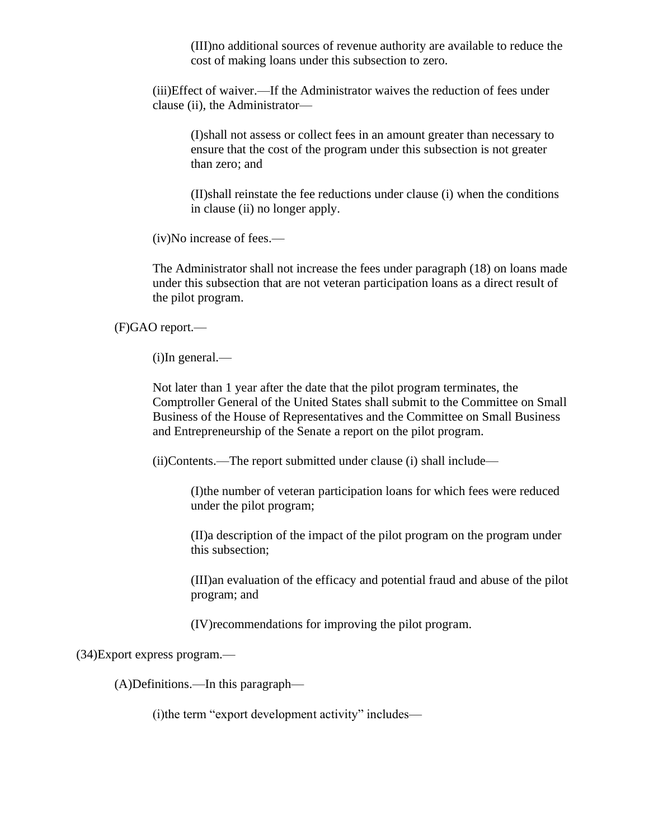(III)no additional sources of revenue authority are available to reduce the cost of making loans under this subsection to zero.

(iii)Effect of waiver.—If the Administrator waives the reduction of fees under clause (ii), the Administrator—

(I)shall not assess or collect fees in an amount greater than necessary to ensure that the cost of the program under this subsection is not greater than zero; and

(II)shall reinstate the fee reductions under clause (i) when the conditions in clause (ii) no longer apply.

(iv)No increase of fees.—

The Administrator shall not increase the fees under paragraph (18) on loans made under this subsection that are not veteran participation loans as a direct result of the pilot program.

(F)GAO report.—

(i)In general.—

Not later than 1 year after the date that the pilot program terminates, the Comptroller General of the United States shall submit to the Committee on Small Business of the House of Representatives and the Committee on Small Business and Entrepreneurship of the Senate a report on the pilot program.

(ii)Contents.—The report submitted under clause (i) shall include—

(I)the number of veteran participation loans for which fees were reduced under the pilot program;

(II)a description of the impact of the pilot program on the program under this subsection;

(III)an evaluation of the efficacy and potential fraud and abuse of the pilot program; and

(IV)recommendations for improving the pilot program.

(34)Export express program.—

(A)Definitions.—In this paragraph—

(i)the term "export development activity" includes—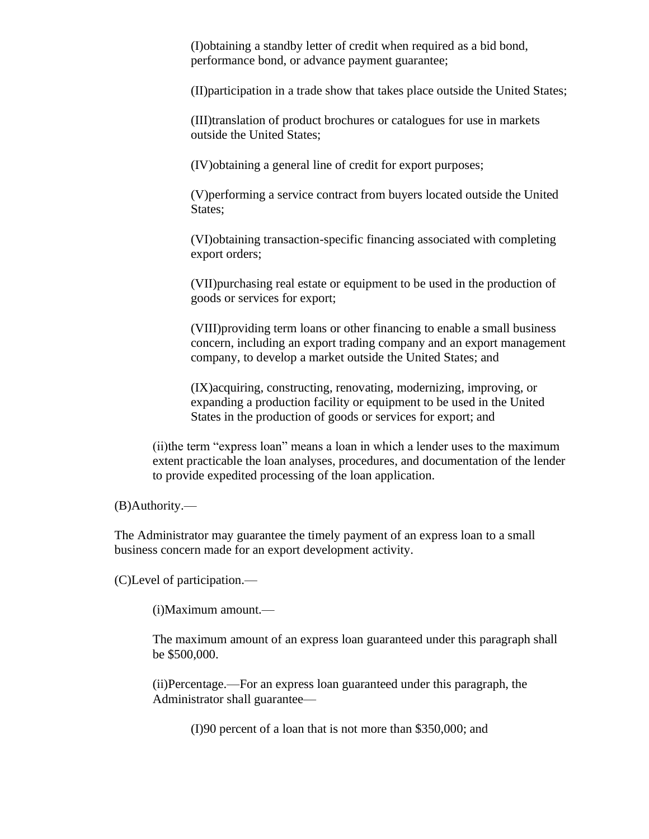(I)obtaining a standby letter of credit when required as a bid bond, performance bond, or advance payment guarantee;

(II)participation in a trade show that takes place outside the United States;

(III)translation of product brochures or catalogues for use in markets outside the United States;

(IV)obtaining a general line of credit for export purposes;

(V)performing a service contract from buyers located outside the United States;

(VI)obtaining transaction-specific financing associated with completing export orders;

(VII)purchasing real estate or equipment to be used in the production of goods or services for export;

(VIII)providing term loans or other financing to enable a small business concern, including an export trading company and an export management company, to develop a market outside the United States; and

(IX)acquiring, constructing, renovating, modernizing, improving, or expanding a production facility or equipment to be used in the United States in the production of goods or services for export; and

(ii)the term "express loan" means a loan in which a lender uses to the maximum extent practicable the loan analyses, procedures, and documentation of the lender to provide expedited processing of the loan application.

(B)Authority.—

The Administrator may guarantee the timely payment of an express loan to a small business concern made for an export development activity.

(C)Level of participation.—

(i)Maximum amount.—

The maximum amount of an express loan guaranteed under this paragraph shall be \$500,000.

(ii)Percentage.—For an express loan guaranteed under this paragraph, the Administrator shall guarantee—

(I)90 percent of a loan that is not more than \$350,000; and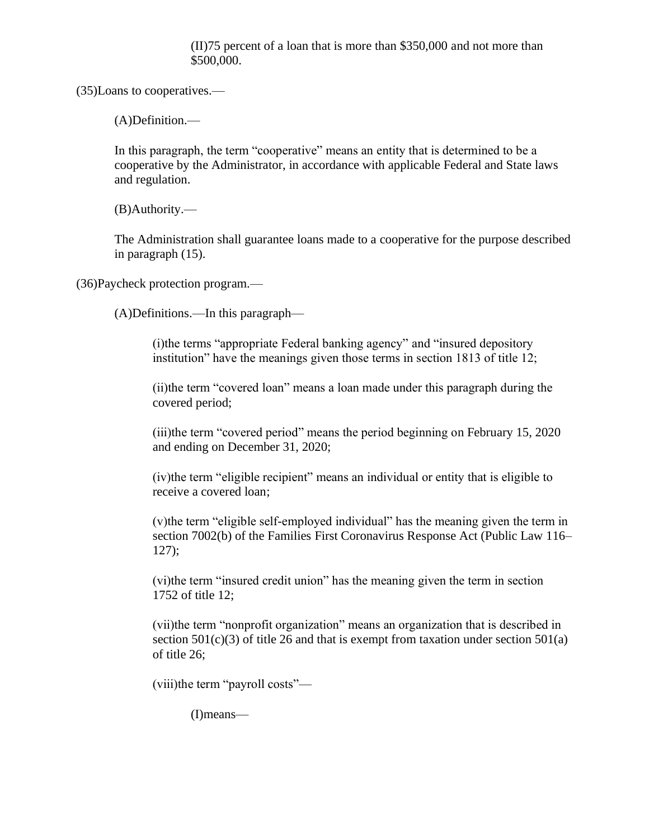(II)75 percent of a loan that is more than \$350,000 and not more than \$500,000.

(35)Loans to cooperatives.—

(A)Definition.—

In this paragraph, the term "cooperative" means an entity that is determined to be a cooperative by the Administrator, in accordance with applicable Federal and State laws and regulation.

(B)Authority.—

The Administration shall guarantee loans made to a cooperative for the purpose described in paragraph (15).

(36)Paycheck protection program.—

(A)Definitions.—In this paragraph—

(i)the terms "appropriate Federal banking agency" and "insured depository institution" have the meanings given those terms in section 1813 of title 12;

(ii)the term "covered loan" means a loan made under this paragraph during the covered period;

(iii)the term "covered period" means the period beginning on February 15, 2020 and ending on December 31, 2020;

(iv)the term "eligible recipient" means an individual or entity that is eligible to receive a covered loan;

(v)the term "eligible self-employed individual" has the meaning given the term in section 7002(b) of the Families First Coronavirus Response Act (Public Law 116– 127);

(vi)the term "insured credit union" has the meaning given the term in section 1752 of title 12;

(vii)the term "nonprofit organization" means an organization that is described in section  $501(c)(3)$  of title 26 and that is exempt from taxation under section  $501(a)$ of title 26;

(viii)the term "payroll costs"—

(I)means—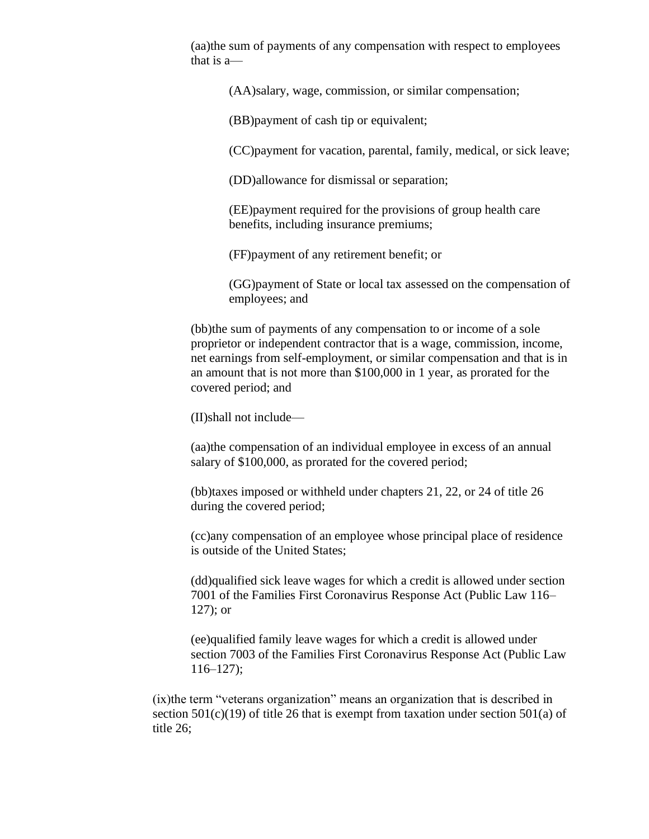(aa)the sum of payments of any compensation with respect to employees that is a—

(AA)salary, wage, commission, or similar compensation;

(BB)payment of cash tip or equivalent;

(CC)payment for vacation, parental, family, medical, or sick leave;

(DD)allowance for dismissal or separation;

(EE)payment required for the provisions of group health care benefits, including insurance premiums;

(FF)payment of any retirement benefit; or

(GG)payment of State or local tax assessed on the compensation of employees; and

(bb)the sum of payments of any compensation to or income of a sole proprietor or independent contractor that is a wage, commission, income, net earnings from self-employment, or similar compensation and that is in an amount that is not more than \$100,000 in 1 year, as prorated for the covered period; and

(II)shall not include—

(aa)the compensation of an individual employee in excess of an annual salary of \$100,000, as prorated for the covered period;

(bb)taxes imposed or withheld under chapters 21, 22, or 24 of title 26 during the covered period;

(cc)any compensation of an employee whose principal place of residence is outside of the United States;

(dd)qualified sick leave wages for which a credit is allowed under section 7001 of the Families First Coronavirus Response Act (Public Law 116– 127); or

(ee)qualified family leave wages for which a credit is allowed under section 7003 of the Families First Coronavirus Response Act (Public Law  $116-127$ ;

(ix)the term "veterans organization" means an organization that is described in section  $501(c)(19)$  of title 26 that is exempt from taxation under section  $501(a)$  of title 26;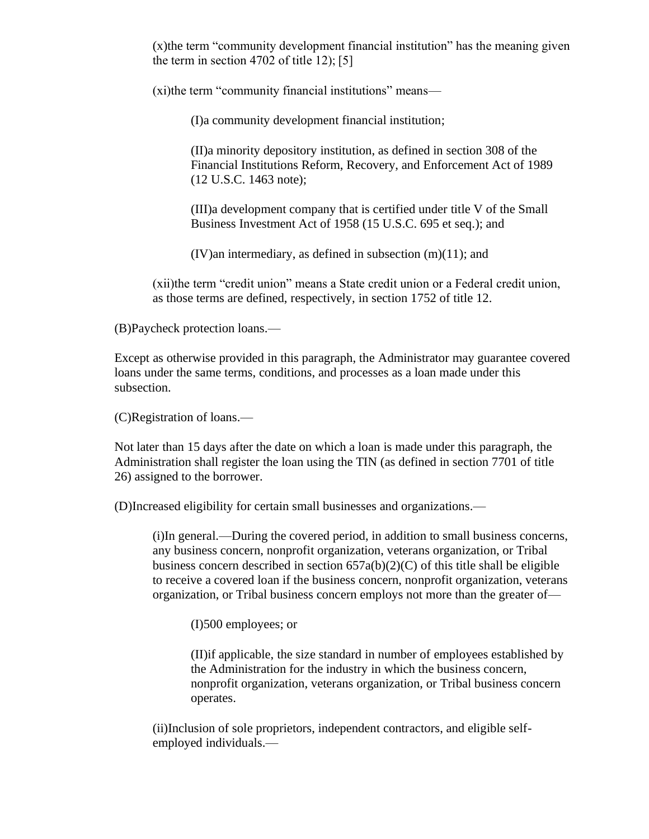(x)the term "community development financial institution" has the meaning given the term in section 4702 of title 12); [5]

(xi)the term "community financial institutions" means—

(I)a community development financial institution;

(II)a minority depository institution, as defined in section 308 of the Financial Institutions Reform, Recovery, and Enforcement Act of 1989 (12 U.S.C. 1463 note);

(III)a development company that is certified under title V of the Small Business Investment Act of 1958 (15 U.S.C. 695 et seq.); and

 $(IV)$ an intermediary, as defined in subsection  $(m)(11)$ ; and

(xii)the term "credit union" means a State credit union or a Federal credit union, as those terms are defined, respectively, in section 1752 of title 12.

(B)Paycheck protection loans.—

Except as otherwise provided in this paragraph, the Administrator may guarantee covered loans under the same terms, conditions, and processes as a loan made under this subsection.

(C)Registration of loans.—

Not later than 15 days after the date on which a loan is made under this paragraph, the Administration shall register the loan using the TIN (as defined in section 7701 of title 26) assigned to the borrower.

(D)Increased eligibility for certain small businesses and organizations.—

(i)In general.—During the covered period, in addition to small business concerns, any business concern, nonprofit organization, veterans organization, or Tribal business concern described in section  $657a(b)(2)(C)$  of this title shall be eligible to receive a covered loan if the business concern, nonprofit organization, veterans organization, or Tribal business concern employs not more than the greater of—

(I)500 employees; or

(II)if applicable, the size standard in number of employees established by the Administration for the industry in which the business concern, nonprofit organization, veterans organization, or Tribal business concern operates.

(ii)Inclusion of sole proprietors, independent contractors, and eligible selfemployed individuals.—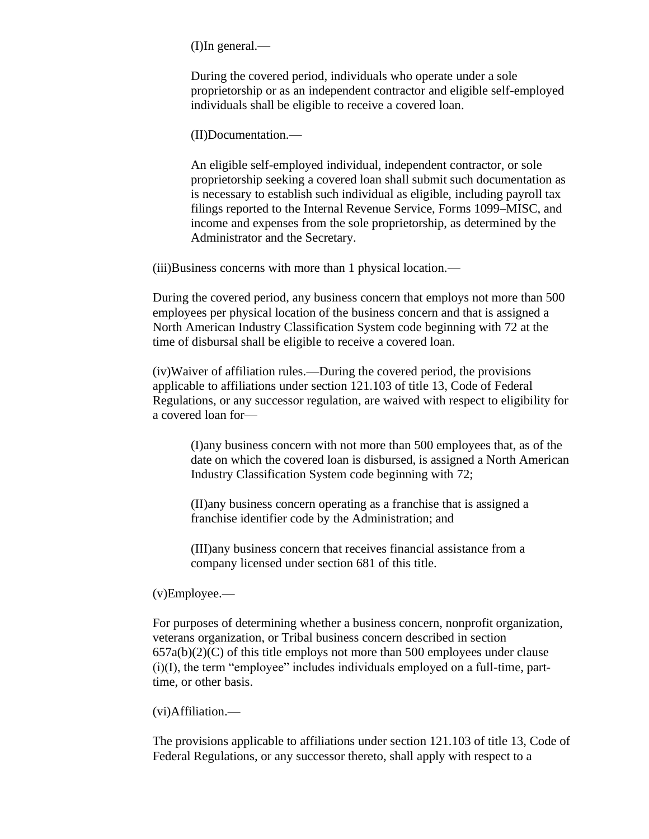(I)In general.—

During the covered period, individuals who operate under a sole proprietorship or as an independent contractor and eligible self-employed individuals shall be eligible to receive a covered loan.

(II)Documentation.—

An eligible self-employed individual, independent contractor, or sole proprietorship seeking a covered loan shall submit such documentation as is necessary to establish such individual as eligible, including payroll tax filings reported to the Internal Revenue Service, Forms 1099–MISC, and income and expenses from the sole proprietorship, as determined by the Administrator and the Secretary.

(iii)Business concerns with more than 1 physical location.—

During the covered period, any business concern that employs not more than 500 employees per physical location of the business concern and that is assigned a North American Industry Classification System code beginning with 72 at the time of disbursal shall be eligible to receive a covered loan.

(iv)Waiver of affiliation rules.—During the covered period, the provisions applicable to affiliations under section 121.103 of title 13, Code of Federal Regulations, or any successor regulation, are waived with respect to eligibility for a covered loan for—

(I)any business concern with not more than 500 employees that, as of the date on which the covered loan is disbursed, is assigned a North American Industry Classification System code beginning with 72;

(II)any business concern operating as a franchise that is assigned a franchise identifier code by the Administration; and

(III)any business concern that receives financial assistance from a company licensed under section 681 of this title.

(v)Employee.—

For purposes of determining whether a business concern, nonprofit organization, veterans organization, or Tribal business concern described in section  $657a(b)(2)(C)$  of this title employs not more than 500 employees under clause  $(i)(I)$ , the term "employee" includes individuals employed on a full-time, parttime, or other basis.

(vi)Affiliation.—

The provisions applicable to affiliations under section 121.103 of title 13, Code of Federal Regulations, or any successor thereto, shall apply with respect to a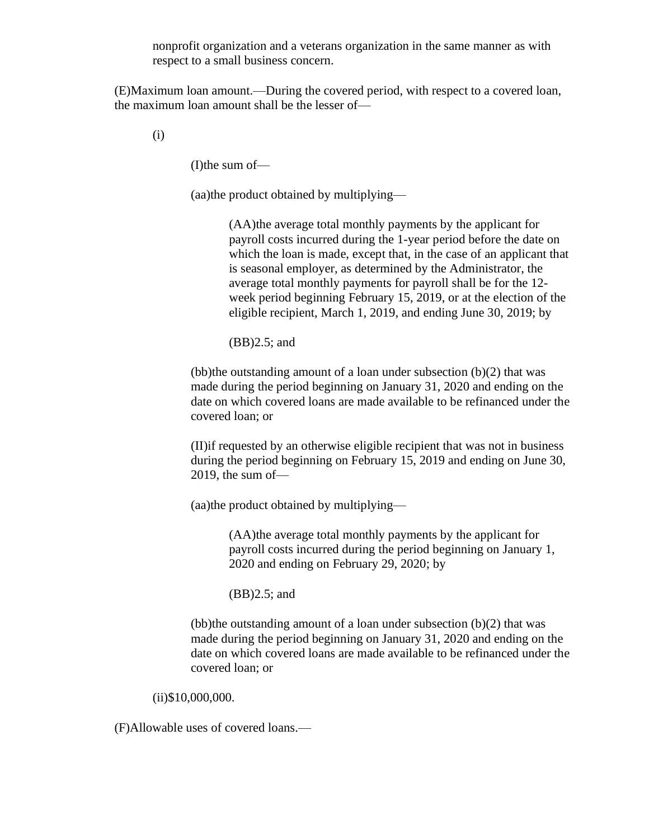nonprofit organization and a veterans organization in the same manner as with respect to a small business concern.

(E)Maximum loan amount.—During the covered period, with respect to a covered loan, the maximum loan amount shall be the lesser of—

(i)

(I)the sum of—

(aa)the product obtained by multiplying—

(AA)the average total monthly payments by the applicant for payroll costs incurred during the 1-year period before the date on which the loan is made, except that, in the case of an applicant that is seasonal employer, as determined by the Administrator, the average total monthly payments for payroll shall be for the 12 week period beginning February 15, 2019, or at the election of the eligible recipient, March 1, 2019, and ending June 30, 2019; by

(BB)2.5; and

(bb)the outstanding amount of a loan under subsection (b)(2) that was made during the period beginning on January 31, 2020 and ending on the date on which covered loans are made available to be refinanced under the covered loan; or

(II)if requested by an otherwise eligible recipient that was not in business during the period beginning on February 15, 2019 and ending on June 30, 2019, the sum of—

(aa)the product obtained by multiplying—

(AA)the average total monthly payments by the applicant for payroll costs incurred during the period beginning on January 1, 2020 and ending on February 29, 2020; by

(BB)2.5; and

(bb)the outstanding amount of a loan under subsection  $(b)(2)$  that was made during the period beginning on January 31, 2020 and ending on the date on which covered loans are made available to be refinanced under the covered loan; or

(ii)\$10,000,000.

(F)Allowable uses of covered loans.—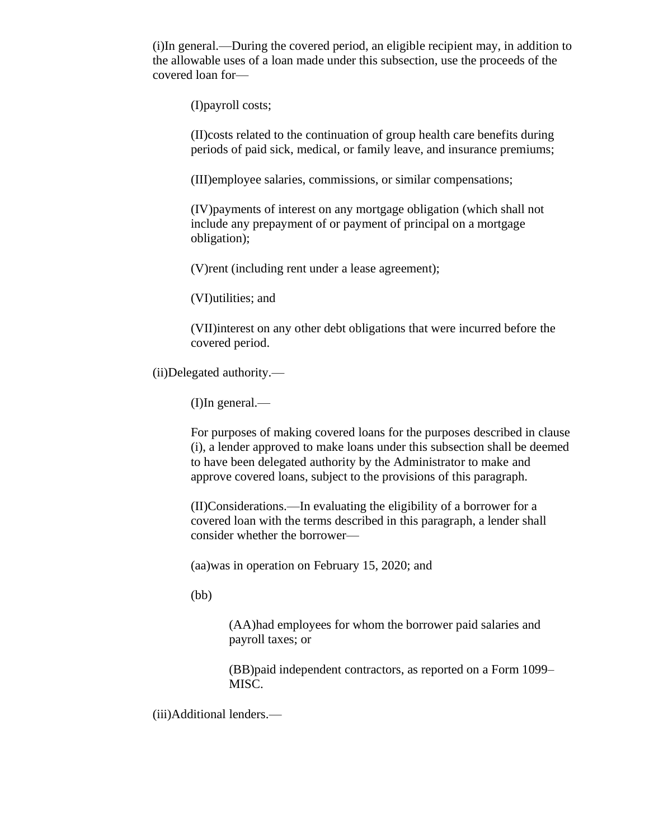(i)In general.—During the covered period, an eligible recipient may, in addition to the allowable uses of a loan made under this subsection, use the proceeds of the covered loan for—

(I)payroll costs;

(II)costs related to the continuation of group health care benefits during periods of paid sick, medical, or family leave, and insurance premiums;

(III)employee salaries, commissions, or similar compensations;

(IV)payments of interest on any mortgage obligation (which shall not include any prepayment of or payment of principal on a mortgage obligation);

(V)rent (including rent under a lease agreement);

(VI)utilities; and

(VII)interest on any other debt obligations that were incurred before the covered period.

(ii)Delegated authority.—

(I)In general.—

For purposes of making covered loans for the purposes described in clause (i), a lender approved to make loans under this subsection shall be deemed to have been delegated authority by the Administrator to make and approve covered loans, subject to the provisions of this paragraph.

(II)Considerations.—In evaluating the eligibility of a borrower for a covered loan with the terms described in this paragraph, a lender shall consider whether the borrower—

(aa)was in operation on February 15, 2020; and

(bb)

(AA)had employees for whom the borrower paid salaries and payroll taxes; or

(BB)paid independent contractors, as reported on a Form 1099– MISC.

(iii)Additional lenders.—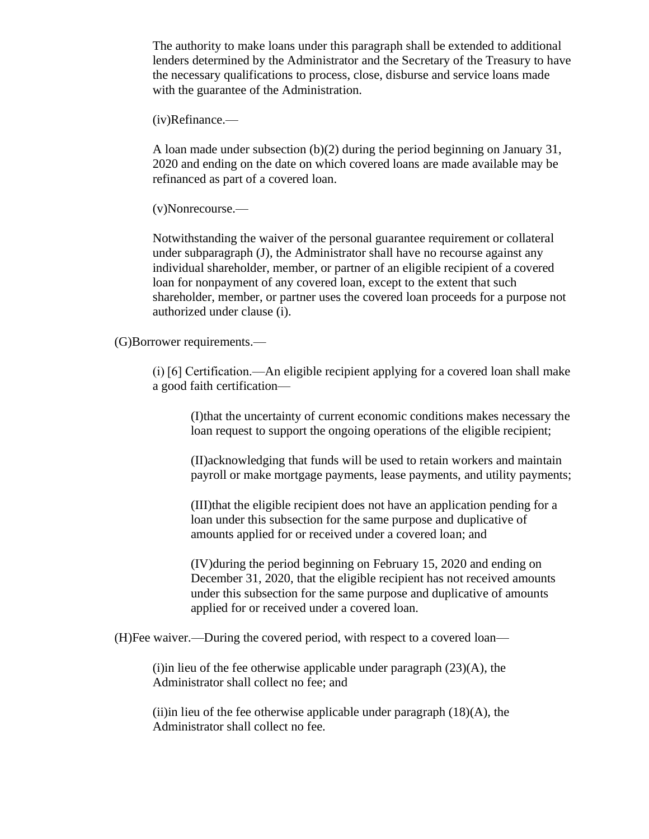The authority to make loans under this paragraph shall be extended to additional lenders determined by the Administrator and the Secretary of the Treasury to have the necessary qualifications to process, close, disburse and service loans made with the guarantee of the Administration.

(iv)Refinance.—

A loan made under subsection (b)(2) during the period beginning on January 31, 2020 and ending on the date on which covered loans are made available may be refinanced as part of a covered loan.

(v)Nonrecourse.—

Notwithstanding the waiver of the personal guarantee requirement or collateral under subparagraph (J), the Administrator shall have no recourse against any individual shareholder, member, or partner of an eligible recipient of a covered loan for nonpayment of any covered loan, except to the extent that such shareholder, member, or partner uses the covered loan proceeds for a purpose not authorized under clause (i).

(G)Borrower requirements.—

(i) [6] Certification.—An eligible recipient applying for a covered loan shall make a good faith certification—

(I)that the uncertainty of current economic conditions makes necessary the loan request to support the ongoing operations of the eligible recipient;

(II)acknowledging that funds will be used to retain workers and maintain payroll or make mortgage payments, lease payments, and utility payments;

(III)that the eligible recipient does not have an application pending for a loan under this subsection for the same purpose and duplicative of amounts applied for or received under a covered loan; and

(IV)during the period beginning on February 15, 2020 and ending on December 31, 2020, that the eligible recipient has not received amounts under this subsection for the same purpose and duplicative of amounts applied for or received under a covered loan.

(H)Fee waiver.—During the covered period, with respect to a covered loan—

(i)in lieu of the fee otherwise applicable under paragraph  $(23)(A)$ , the Administrator shall collect no fee; and

(ii)in lieu of the fee otherwise applicable under paragraph  $(18)(A)$ , the Administrator shall collect no fee.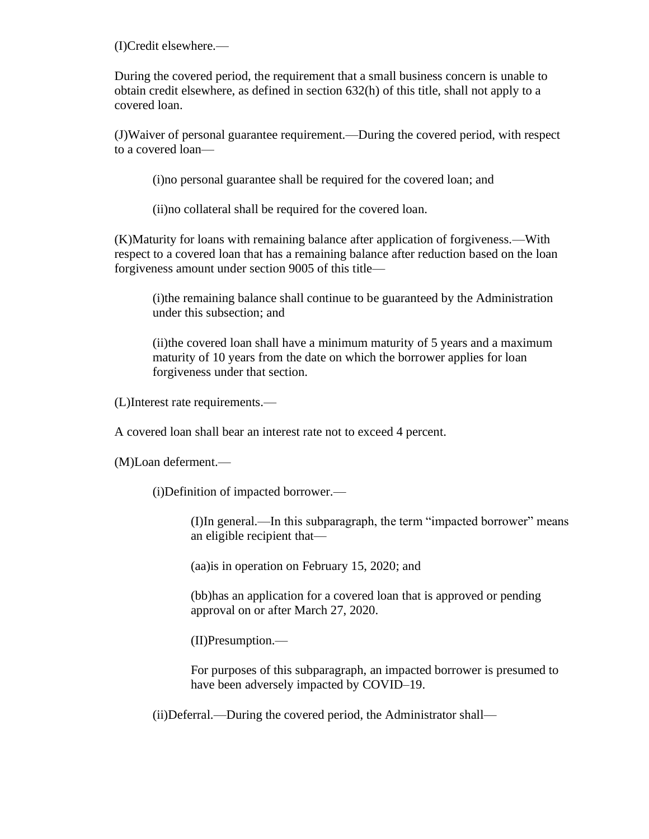(I)Credit elsewhere.—

During the covered period, the requirement that a small business concern is unable to obtain credit elsewhere, as defined in section 632(h) of this title, shall not apply to a covered loan.

(J)Waiver of personal guarantee requirement.—During the covered period, with respect to a covered loan—

(i)no personal guarantee shall be required for the covered loan; and

(ii)no collateral shall be required for the covered loan.

(K)Maturity for loans with remaining balance after application of forgiveness.—With respect to a covered loan that has a remaining balance after reduction based on the loan forgiveness amount under section 9005 of this title—

(i)the remaining balance shall continue to be guaranteed by the Administration under this subsection; and

(ii)the covered loan shall have a minimum maturity of 5 years and a maximum maturity of 10 years from the date on which the borrower applies for loan forgiveness under that section.

(L)Interest rate requirements.—

A covered loan shall bear an interest rate not to exceed 4 percent.

(M)Loan deferment.—

(i)Definition of impacted borrower.—

(I)In general.—In this subparagraph, the term "impacted borrower" means an eligible recipient that—

(aa)is in operation on February 15, 2020; and

(bb)has an application for a covered loan that is approved or pending approval on or after March 27, 2020.

(II)Presumption.—

For purposes of this subparagraph, an impacted borrower is presumed to have been adversely impacted by COVID–19.

(ii)Deferral.—During the covered period, the Administrator shall—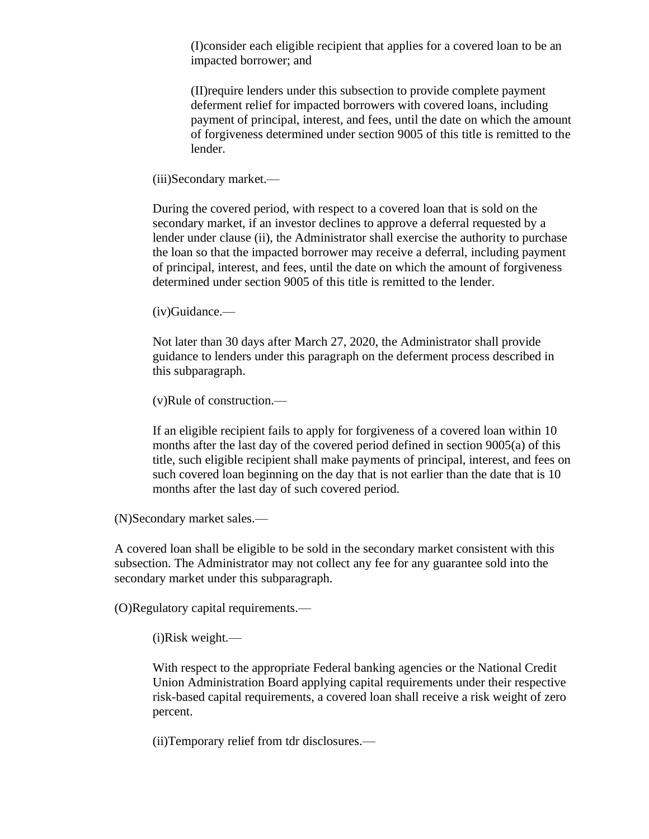(I)consider each eligible recipient that applies for a covered loan to be an impacted borrower; and

(II)require lenders under this subsection to provide complete payment deferment relief for impacted borrowers with covered loans, including payment of principal, interest, and fees, until the date on which the amount of forgiveness determined under section 9005 of this title is remitted to the lender.

(iii)Secondary market.—

During the covered period, with respect to a covered loan that is sold on the secondary market, if an investor declines to approve a deferral requested by a lender under clause (ii), the Administrator shall exercise the authority to purchase the loan so that the impacted borrower may receive a deferral, including payment of principal, interest, and fees, until the date on which the amount of forgiveness determined under section 9005 of this title is remitted to the lender.

(iv)Guidance.—

Not later than 30 days after March 27, 2020, the Administrator shall provide guidance to lenders under this paragraph on the deferment process described in this subparagraph.

(v)Rule of construction.—

If an eligible recipient fails to apply for forgiveness of a covered loan within 10 months after the last day of the covered period defined in section 9005(a) of this title, such eligible recipient shall make payments of principal, interest, and fees on such covered loan beginning on the day that is not earlier than the date that is 10 months after the last day of such covered period.

(N)Secondary market sales.—

A covered loan shall be eligible to be sold in the secondary market consistent with this subsection. The Administrator may not collect any fee for any guarantee sold into the secondary market under this subparagraph.

(O)Regulatory capital requirements.—

(i)Risk weight.—

With respect to the appropriate Federal banking agencies or the National Credit Union Administration Board applying capital requirements under their respective risk-based capital requirements, a covered loan shall receive a risk weight of zero percent.

(ii)Temporary relief from tdr disclosures.—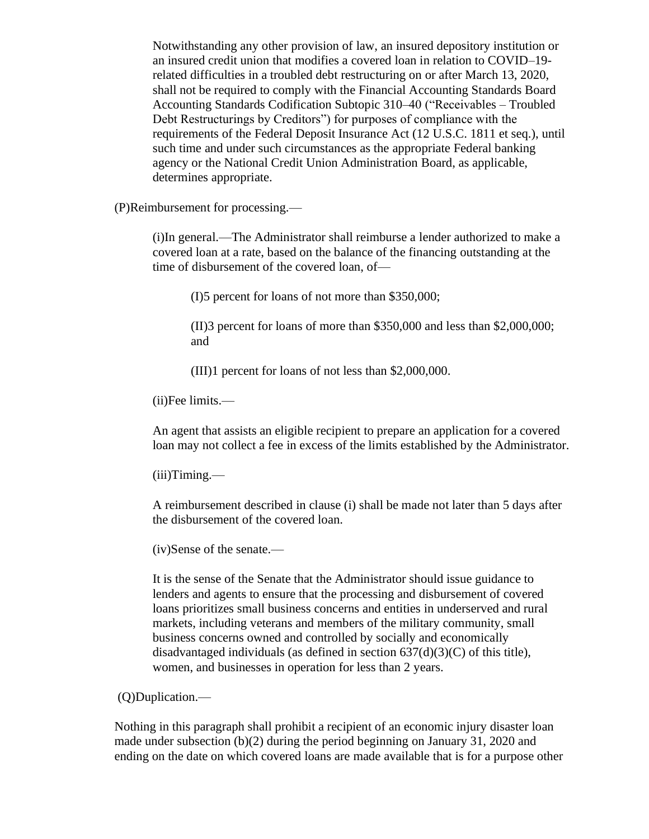Notwithstanding any other provision of law, an insured depository institution or an insured credit union that modifies a covered loan in relation to COVID–19 related difficulties in a troubled debt restructuring on or after March 13, 2020, shall not be required to comply with the Financial Accounting Standards Board Accounting Standards Codification Subtopic 310–40 ("Receivables – Troubled Debt Restructurings by Creditors") for purposes of compliance with the requirements of the Federal Deposit Insurance Act (12 U.S.C. 1811 et seq.), until such time and under such circumstances as the appropriate Federal banking agency or the National Credit Union Administration Board, as applicable, determines appropriate.

(P)Reimbursement for processing.—

(i)In general.—The Administrator shall reimburse a lender authorized to make a covered loan at a rate, based on the balance of the financing outstanding at the time of disbursement of the covered loan, of—

(I)5 percent for loans of not more than \$350,000;

(II)3 percent for loans of more than \$350,000 and less than \$2,000,000; and

(III)1 percent for loans of not less than \$2,000,000.

(ii)Fee limits.—

An agent that assists an eligible recipient to prepare an application for a covered loan may not collect a fee in excess of the limits established by the Administrator.

(iii)Timing.—

A reimbursement described in clause (i) shall be made not later than 5 days after the disbursement of the covered loan.

(iv)Sense of the senate.—

It is the sense of the Senate that the Administrator should issue guidance to lenders and agents to ensure that the processing and disbursement of covered loans prioritizes small business concerns and entities in underserved and rural markets, including veterans and members of the military community, small business concerns owned and controlled by socially and economically disadvantaged individuals (as defined in section  $637(d)(3)(C)$  of this title), women, and businesses in operation for less than 2 years.

(Q)Duplication.—

Nothing in this paragraph shall prohibit a recipient of an economic injury disaster loan made under subsection (b)(2) during the period beginning on January 31, 2020 and ending on the date on which covered loans are made available that is for a purpose other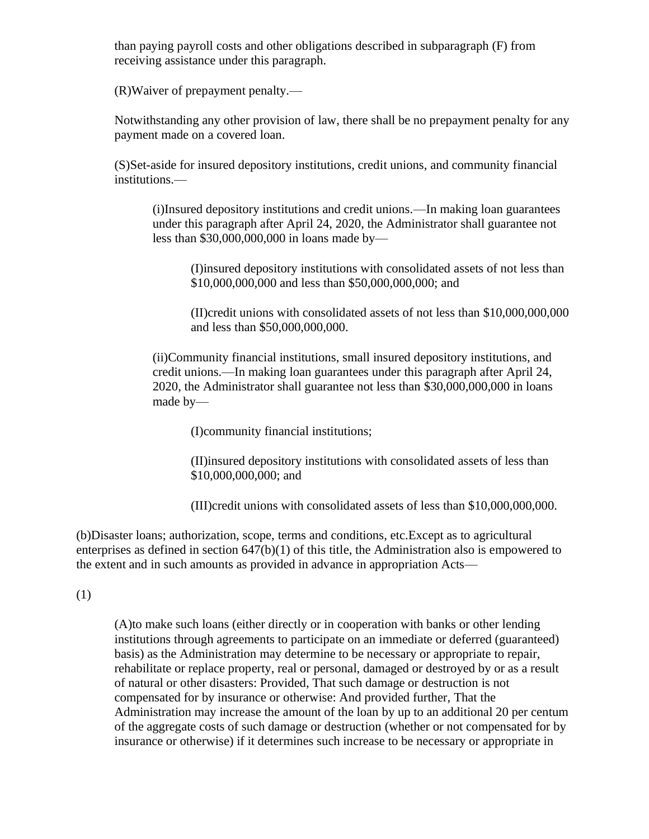than paying payroll costs and other obligations described in subparagraph (F) from receiving assistance under this paragraph.

(R)Waiver of prepayment penalty.—

Notwithstanding any other provision of law, there shall be no prepayment penalty for any payment made on a covered loan.

(S)Set-aside for insured depository institutions, credit unions, and community financial institutions.—

(i)Insured depository institutions and credit unions.—In making loan guarantees under this paragraph after April 24, 2020, the Administrator shall guarantee not less than \$30,000,000,000 in loans made by—

(I)insured depository institutions with consolidated assets of not less than \$10,000,000,000 and less than \$50,000,000,000; and

(II)credit unions with consolidated assets of not less than \$10,000,000,000 and less than \$50,000,000,000.

(ii)Community financial institutions, small insured depository institutions, and credit unions.—In making loan guarantees under this paragraph after April 24, 2020, the Administrator shall guarantee not less than \$30,000,000,000 in loans made by—

(I)community financial institutions;

(II)insured depository institutions with consolidated assets of less than \$10,000,000,000; and

(III)credit unions with consolidated assets of less than \$10,000,000,000.

(b)Disaster loans; authorization, scope, terms and conditions, etc.Except as to agricultural enterprises as defined in section  $647(b)(1)$  of this title, the Administration also is empowered to the extent and in such amounts as provided in advance in appropriation Acts—

(1)

(A)to make such loans (either directly or in cooperation with banks or other lending institutions through agreements to participate on an immediate or deferred (guaranteed) basis) as the Administration may determine to be necessary or appropriate to repair, rehabilitate or replace property, real or personal, damaged or destroyed by or as a result of natural or other disasters: Provided, That such damage or destruction is not compensated for by insurance or otherwise: And provided further, That the Administration may increase the amount of the loan by up to an additional 20 per centum of the aggregate costs of such damage or destruction (whether or not compensated for by insurance or otherwise) if it determines such increase to be necessary or appropriate in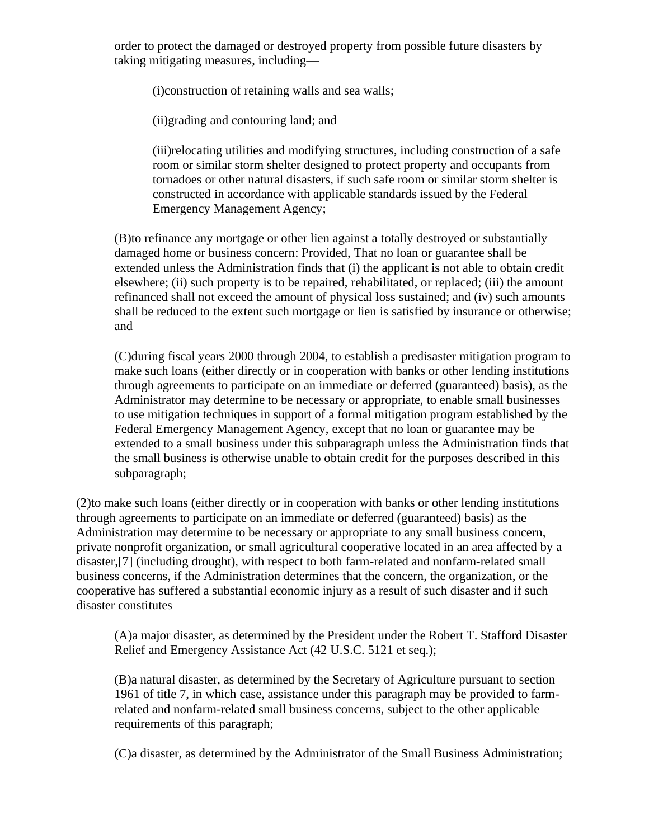order to protect the damaged or destroyed property from possible future disasters by taking mitigating measures, including—

(i)construction of retaining walls and sea walls;

(ii)grading and contouring land; and

(iii)relocating utilities and modifying structures, including construction of a safe room or similar storm shelter designed to protect property and occupants from tornadoes or other natural disasters, if such safe room or similar storm shelter is constructed in accordance with applicable standards issued by the Federal Emergency Management Agency;

(B)to refinance any mortgage or other lien against a totally destroyed or substantially damaged home or business concern: Provided, That no loan or guarantee shall be extended unless the Administration finds that (i) the applicant is not able to obtain credit elsewhere; (ii) such property is to be repaired, rehabilitated, or replaced; (iii) the amount refinanced shall not exceed the amount of physical loss sustained; and (iv) such amounts shall be reduced to the extent such mortgage or lien is satisfied by insurance or otherwise; and

(C)during fiscal years 2000 through 2004, to establish a predisaster mitigation program to make such loans (either directly or in cooperation with banks or other lending institutions through agreements to participate on an immediate or deferred (guaranteed) basis), as the Administrator may determine to be necessary or appropriate, to enable small businesses to use mitigation techniques in support of a formal mitigation program established by the Federal Emergency Management Agency, except that no loan or guarantee may be extended to a small business under this subparagraph unless the Administration finds that the small business is otherwise unable to obtain credit for the purposes described in this subparagraph;

(2)to make such loans (either directly or in cooperation with banks or other lending institutions through agreements to participate on an immediate or deferred (guaranteed) basis) as the Administration may determine to be necessary or appropriate to any small business concern, private nonprofit organization, or small agricultural cooperative located in an area affected by a disaster,[7] (including drought), with respect to both farm-related and nonfarm-related small business concerns, if the Administration determines that the concern, the organization, or the cooperative has suffered a substantial economic injury as a result of such disaster and if such disaster constitutes—

(A)a major disaster, as determined by the President under the Robert T. Stafford Disaster Relief and Emergency Assistance Act (42 U.S.C. 5121 et seq.);

(B)a natural disaster, as determined by the Secretary of Agriculture pursuant to section 1961 of title 7, in which case, assistance under this paragraph may be provided to farmrelated and nonfarm-related small business concerns, subject to the other applicable requirements of this paragraph;

(C)a disaster, as determined by the Administrator of the Small Business Administration;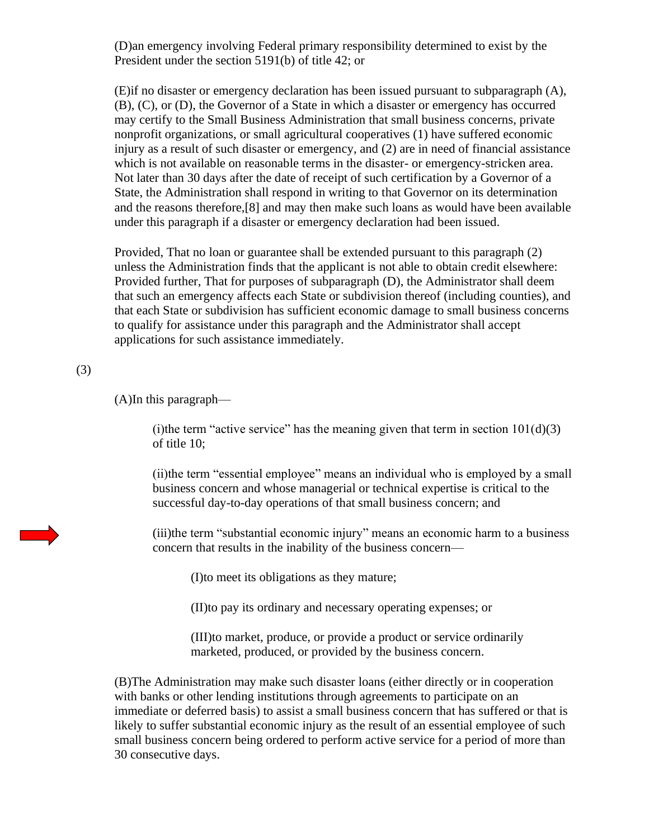(D)an emergency involving Federal primary responsibility determined to exist by the President under the section 5191(b) of title 42; or

(E)if no disaster or emergency declaration has been issued pursuant to subparagraph (A), (B), (C), or (D), the Governor of a State in which a disaster or emergency has occurred may certify to the Small Business Administration that small business concerns, private nonprofit organizations, or small agricultural cooperatives (1) have suffered economic injury as a result of such disaster or emergency, and (2) are in need of financial assistance which is not available on reasonable terms in the disaster- or emergency-stricken area. Not later than 30 days after the date of receipt of such certification by a Governor of a State, the Administration shall respond in writing to that Governor on its determination and the reasons therefore,[8] and may then make such loans as would have been available under this paragraph if a disaster or emergency declaration had been issued.

Provided, That no loan or guarantee shall be extended pursuant to this paragraph (2) unless the Administration finds that the applicant is not able to obtain credit elsewhere: Provided further, That for purposes of subparagraph (D), the Administrator shall deem that such an emergency affects each State or subdivision thereof (including counties), and that each State or subdivision has sufficient economic damage to small business concerns to qualify for assistance under this paragraph and the Administrator shall accept applications for such assistance immediately.

#### (3)

(A)In this paragraph—

(i)the term "active service" has the meaning given that term in section  $101(d)(3)$ of title 10;

(ii)the term "essential employee" means an individual who is employed by a small business concern and whose managerial or technical expertise is critical to the successful day-to-day operations of that small business concern; and

(iii)the term "substantial economic injury" means an economic harm to a business concern that results in the inability of the business concern—

(I)to meet its obligations as they mature;

(II)to pay its ordinary and necessary operating expenses; or

(III)to market, produce, or provide a product or service ordinarily marketed, produced, or provided by the business concern.

(B)The Administration may make such disaster loans (either directly or in cooperation with banks or other lending institutions through agreements to participate on an immediate or deferred basis) to assist a small business concern that has suffered or that is likely to suffer substantial economic injury as the result of an essential employee of such small business concern being ordered to perform active service for a period of more than 30 consecutive days.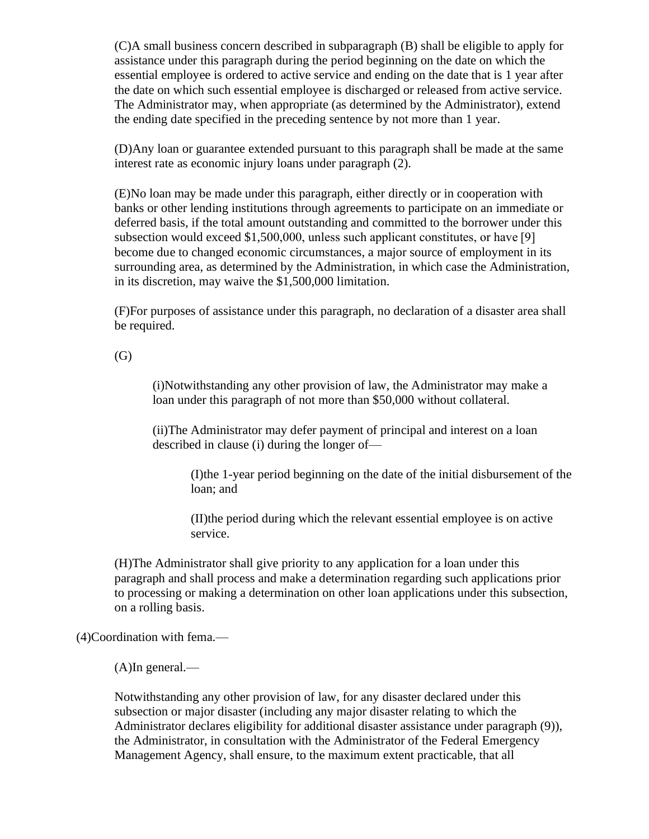(C)A small business concern described in subparagraph (B) shall be eligible to apply for assistance under this paragraph during the period beginning on the date on which the essential employee is ordered to active service and ending on the date that is 1 year after the date on which such essential employee is discharged or released from active service. The Administrator may, when appropriate (as determined by the Administrator), extend the ending date specified in the preceding sentence by not more than 1 year.

(D)Any loan or guarantee extended pursuant to this paragraph shall be made at the same interest rate as economic injury loans under paragraph (2).

(E)No loan may be made under this paragraph, either directly or in cooperation with banks or other lending institutions through agreements to participate on an immediate or deferred basis, if the total amount outstanding and committed to the borrower under this subsection would exceed \$1,500,000, unless such applicant constitutes, or have [9] become due to changed economic circumstances, a major source of employment in its surrounding area, as determined by the Administration, in which case the Administration, in its discretion, may waive the \$1,500,000 limitation.

(F)For purposes of assistance under this paragraph, no declaration of a disaster area shall be required.

(G)

(i)Notwithstanding any other provision of law, the Administrator may make a loan under this paragraph of not more than \$50,000 without collateral.

(ii)The Administrator may defer payment of principal and interest on a loan described in clause (i) during the longer of—

(I)the 1-year period beginning on the date of the initial disbursement of the loan; and

(II)the period during which the relevant essential employee is on active service.

(H)The Administrator shall give priority to any application for a loan under this paragraph and shall process and make a determination regarding such applications prior to processing or making a determination on other loan applications under this subsection, on a rolling basis.

(4)Coordination with fema.—

(A)In general.—

Notwithstanding any other provision of law, for any disaster declared under this subsection or major disaster (including any major disaster relating to which the Administrator declares eligibility for additional disaster assistance under paragraph (9)), the Administrator, in consultation with the Administrator of the Federal Emergency Management Agency, shall ensure, to the maximum extent practicable, that all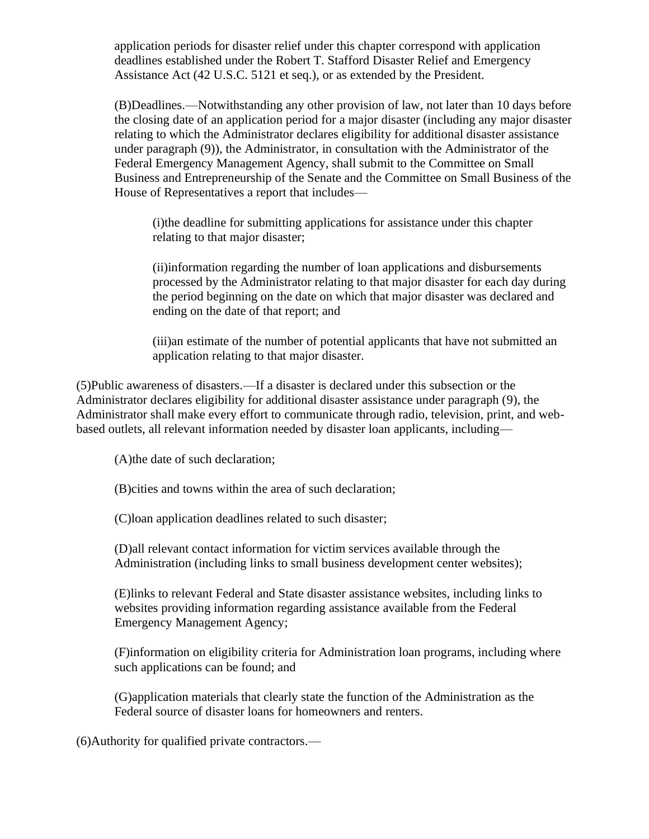application periods for disaster relief under this chapter correspond with application deadlines established under the Robert T. Stafford Disaster Relief and Emergency Assistance Act (42 U.S.C. 5121 et seq.), or as extended by the President.

(B)Deadlines.—Notwithstanding any other provision of law, not later than 10 days before the closing date of an application period for a major disaster (including any major disaster relating to which the Administrator declares eligibility for additional disaster assistance under paragraph (9)), the Administrator, in consultation with the Administrator of the Federal Emergency Management Agency, shall submit to the Committee on Small Business and Entrepreneurship of the Senate and the Committee on Small Business of the House of Representatives a report that includes—

(i)the deadline for submitting applications for assistance under this chapter relating to that major disaster;

(ii)information regarding the number of loan applications and disbursements processed by the Administrator relating to that major disaster for each day during the period beginning on the date on which that major disaster was declared and ending on the date of that report; and

(iii)an estimate of the number of potential applicants that have not submitted an application relating to that major disaster.

(5)Public awareness of disasters.—If a disaster is declared under this subsection or the Administrator declares eligibility for additional disaster assistance under paragraph (9), the Administrator shall make every effort to communicate through radio, television, print, and webbased outlets, all relevant information needed by disaster loan applicants, including—

(A)the date of such declaration;

(B)cities and towns within the area of such declaration;

(C)loan application deadlines related to such disaster;

(D)all relevant contact information for victim services available through the Administration (including links to small business development center websites);

(E)links to relevant Federal and State disaster assistance websites, including links to websites providing information regarding assistance available from the Federal Emergency Management Agency;

(F)information on eligibility criteria for Administration loan programs, including where such applications can be found; and

(G)application materials that clearly state the function of the Administration as the Federal source of disaster loans for homeowners and renters.

(6)Authority for qualified private contractors.—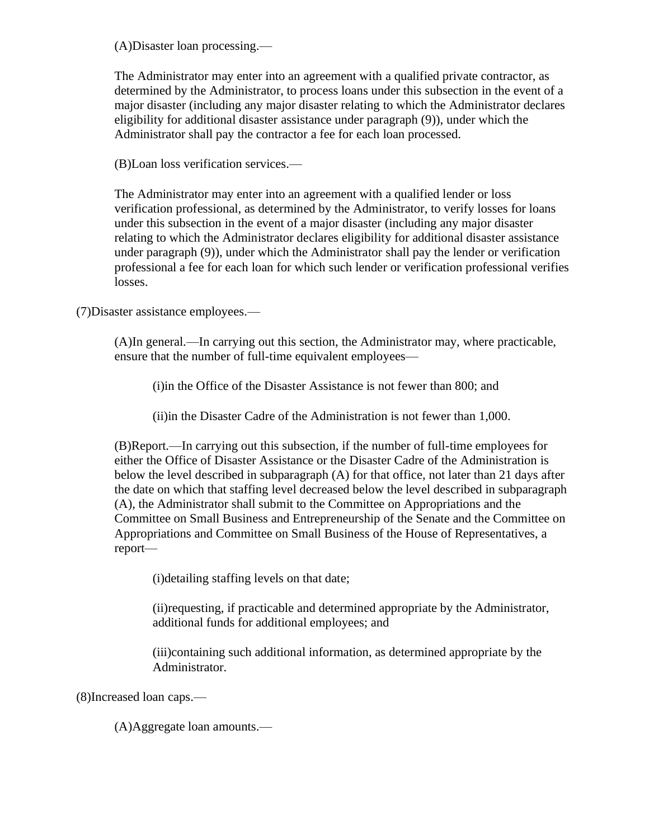(A)Disaster loan processing.—

The Administrator may enter into an agreement with a qualified private contractor, as determined by the Administrator, to process loans under this subsection in the event of a major disaster (including any major disaster relating to which the Administrator declares eligibility for additional disaster assistance under paragraph (9)), under which the Administrator shall pay the contractor a fee for each loan processed.

(B)Loan loss verification services.—

The Administrator may enter into an agreement with a qualified lender or loss verification professional, as determined by the Administrator, to verify losses for loans under this subsection in the event of a major disaster (including any major disaster relating to which the Administrator declares eligibility for additional disaster assistance under paragraph (9)), under which the Administrator shall pay the lender or verification professional a fee for each loan for which such lender or verification professional verifies losses.

(7)Disaster assistance employees.—

(A)In general.—In carrying out this section, the Administrator may, where practicable, ensure that the number of full-time equivalent employees—

(i)in the Office of the Disaster Assistance is not fewer than 800; and

(ii)in the Disaster Cadre of the Administration is not fewer than 1,000.

(B)Report.—In carrying out this subsection, if the number of full-time employees for either the Office of Disaster Assistance or the Disaster Cadre of the Administration is below the level described in subparagraph (A) for that office, not later than 21 days after the date on which that staffing level decreased below the level described in subparagraph (A), the Administrator shall submit to the Committee on Appropriations and the Committee on Small Business and Entrepreneurship of the Senate and the Committee on Appropriations and Committee on Small Business of the House of Representatives, a report—

(i)detailing staffing levels on that date;

(ii)requesting, if practicable and determined appropriate by the Administrator, additional funds for additional employees; and

(iii)containing such additional information, as determined appropriate by the Administrator.

(8)Increased loan caps.—

(A)Aggregate loan amounts.—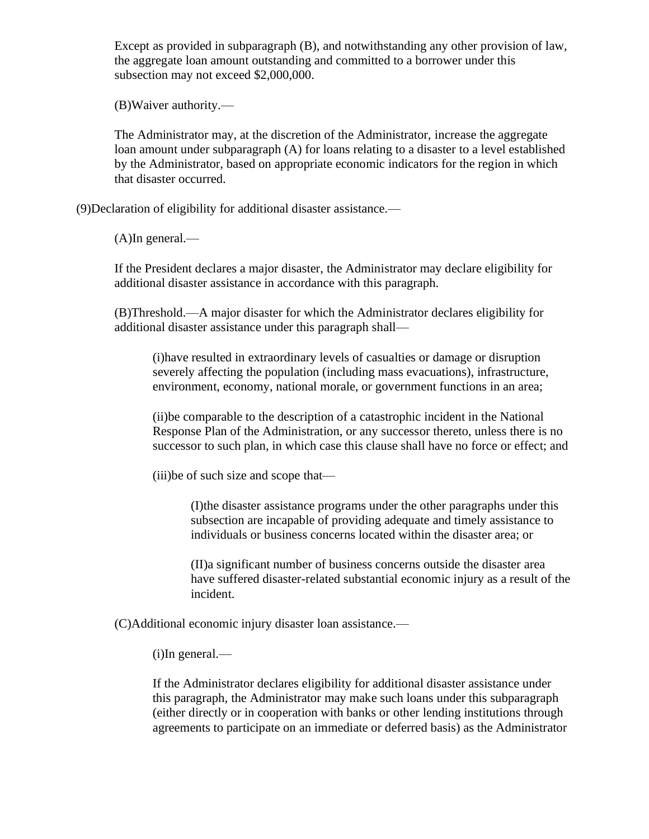Except as provided in subparagraph (B), and notwithstanding any other provision of law, the aggregate loan amount outstanding and committed to a borrower under this subsection may not exceed \$2,000,000.

(B)Waiver authority.—

The Administrator may, at the discretion of the Administrator, increase the aggregate loan amount under subparagraph (A) for loans relating to a disaster to a level established by the Administrator, based on appropriate economic indicators for the region in which that disaster occurred.

(9)Declaration of eligibility for additional disaster assistance.—

(A)In general.—

If the President declares a major disaster, the Administrator may declare eligibility for additional disaster assistance in accordance with this paragraph.

(B)Threshold.—A major disaster for which the Administrator declares eligibility for additional disaster assistance under this paragraph shall—

(i)have resulted in extraordinary levels of casualties or damage or disruption severely affecting the population (including mass evacuations), infrastructure, environment, economy, national morale, or government functions in an area;

(ii)be comparable to the description of a catastrophic incident in the National Response Plan of the Administration, or any successor thereto, unless there is no successor to such plan, in which case this clause shall have no force or effect; and

(iii)be of such size and scope that—

(I)the disaster assistance programs under the other paragraphs under this subsection are incapable of providing adequate and timely assistance to individuals or business concerns located within the disaster area; or

(II)a significant number of business concerns outside the disaster area have suffered disaster-related substantial economic injury as a result of the incident.

(C)Additional economic injury disaster loan assistance.—

(i)In general.—

If the Administrator declares eligibility for additional disaster assistance under this paragraph, the Administrator may make such loans under this subparagraph (either directly or in cooperation with banks or other lending institutions through agreements to participate on an immediate or deferred basis) as the Administrator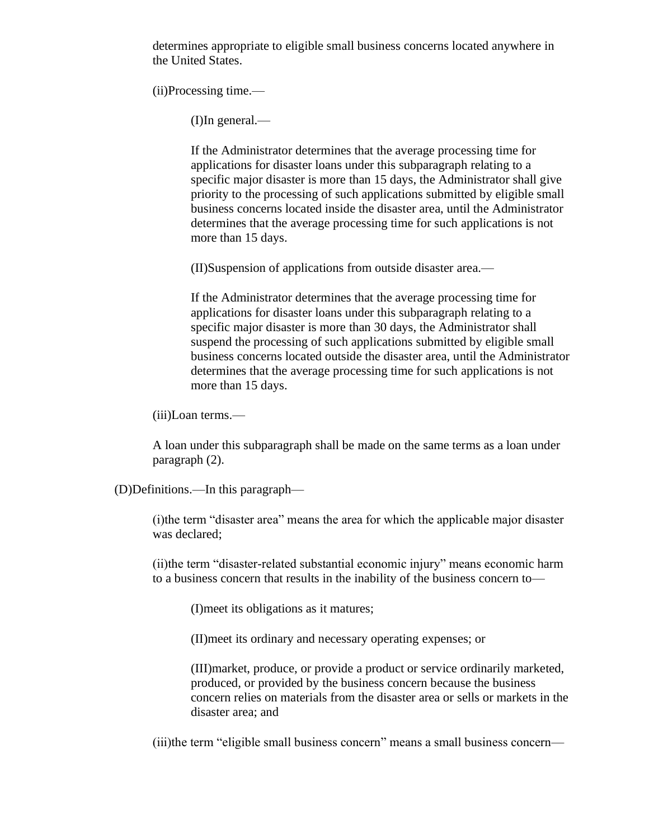determines appropriate to eligible small business concerns located anywhere in the United States.

(ii)Processing time.—

(I)In general.—

If the Administrator determines that the average processing time for applications for disaster loans under this subparagraph relating to a specific major disaster is more than 15 days, the Administrator shall give priority to the processing of such applications submitted by eligible small business concerns located inside the disaster area, until the Administrator determines that the average processing time for such applications is not more than 15 days.

(II)Suspension of applications from outside disaster area.—

If the Administrator determines that the average processing time for applications for disaster loans under this subparagraph relating to a specific major disaster is more than 30 days, the Administrator shall suspend the processing of such applications submitted by eligible small business concerns located outside the disaster area, until the Administrator determines that the average processing time for such applications is not more than 15 days.

(iii)Loan terms.—

A loan under this subparagraph shall be made on the same terms as a loan under paragraph (2).

(D)Definitions.—In this paragraph—

(i)the term "disaster area" means the area for which the applicable major disaster was declared;

(ii)the term "disaster-related substantial economic injury" means economic harm to a business concern that results in the inability of the business concern to—

(I)meet its obligations as it matures;

(II)meet its ordinary and necessary operating expenses; or

(III)market, produce, or provide a product or service ordinarily marketed, produced, or provided by the business concern because the business concern relies on materials from the disaster area or sells or markets in the disaster area; and

(iii)the term "eligible small business concern" means a small business concern—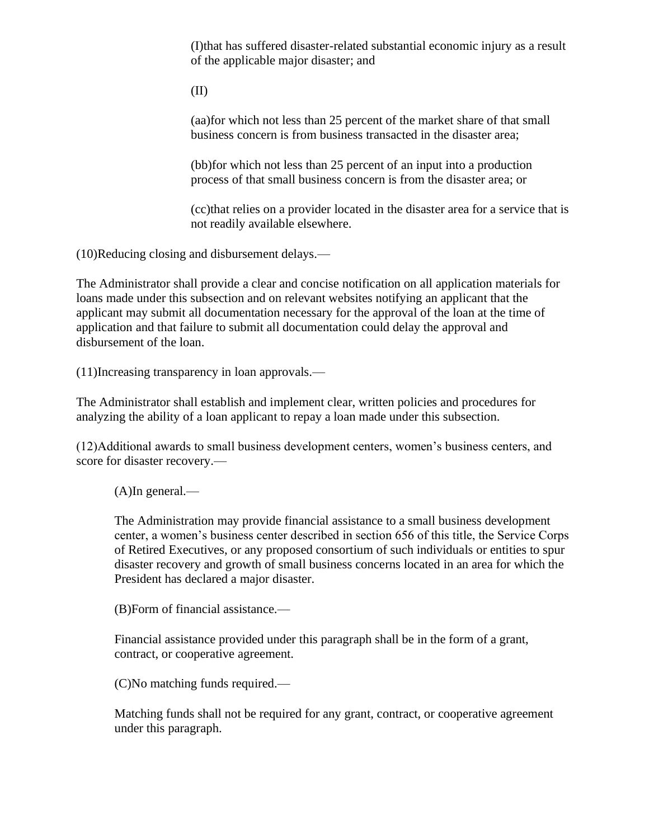(I)that has suffered disaster-related substantial economic injury as a result of the applicable major disaster; and

(II)

(aa)for which not less than 25 percent of the market share of that small business concern is from business transacted in the disaster area;

(bb)for which not less than 25 percent of an input into a production process of that small business concern is from the disaster area; or

(cc)that relies on a provider located in the disaster area for a service that is not readily available elsewhere.

(10)Reducing closing and disbursement delays.—

The Administrator shall provide a clear and concise notification on all application materials for loans made under this subsection and on relevant websites notifying an applicant that the applicant may submit all documentation necessary for the approval of the loan at the time of application and that failure to submit all documentation could delay the approval and disbursement of the loan.

(11)Increasing transparency in loan approvals.—

The Administrator shall establish and implement clear, written policies and procedures for analyzing the ability of a loan applicant to repay a loan made under this subsection.

(12)Additional awards to small business development centers, women's business centers, and score for disaster recovery.—

(A)In general.—

The Administration may provide financial assistance to a small business development center, a women's business center described in section 656 of this title, the Service Corps of Retired Executives, or any proposed consortium of such individuals or entities to spur disaster recovery and growth of small business concerns located in an area for which the President has declared a major disaster.

(B)Form of financial assistance.—

Financial assistance provided under this paragraph shall be in the form of a grant, contract, or cooperative agreement.

(C)No matching funds required.—

Matching funds shall not be required for any grant, contract, or cooperative agreement under this paragraph.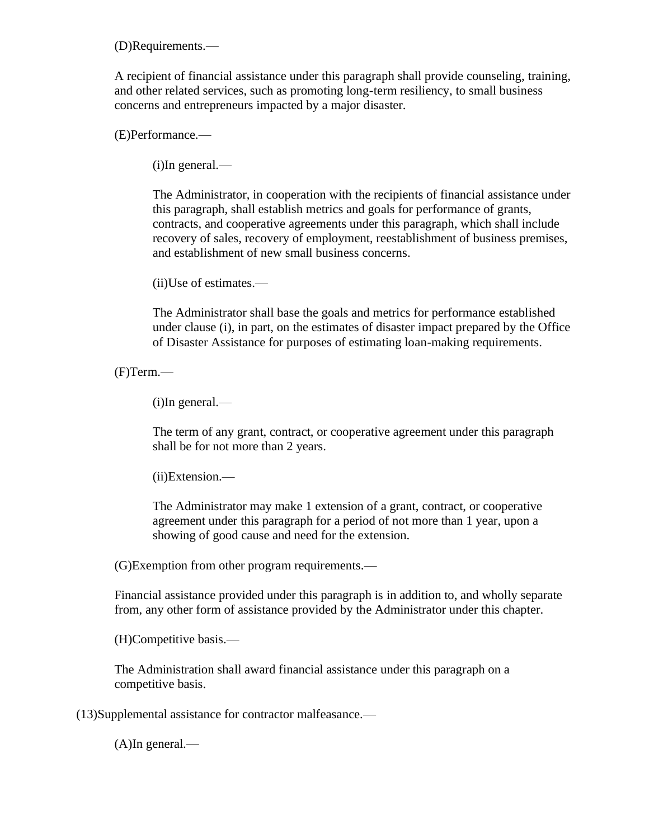(D)Requirements.—

A recipient of financial assistance under this paragraph shall provide counseling, training, and other related services, such as promoting long-term resiliency, to small business concerns and entrepreneurs impacted by a major disaster.

(E)Performance.—

(i)In general.—

The Administrator, in cooperation with the recipients of financial assistance under this paragraph, shall establish metrics and goals for performance of grants, contracts, and cooperative agreements under this paragraph, which shall include recovery of sales, recovery of employment, reestablishment of business premises, and establishment of new small business concerns.

(ii)Use of estimates.—

The Administrator shall base the goals and metrics for performance established under clause (i), in part, on the estimates of disaster impact prepared by the Office of Disaster Assistance for purposes of estimating loan-making requirements.

(F)Term.—

(i)In general.—

The term of any grant, contract, or cooperative agreement under this paragraph shall be for not more than 2 years.

(ii)Extension.—

The Administrator may make 1 extension of a grant, contract, or cooperative agreement under this paragraph for a period of not more than 1 year, upon a showing of good cause and need for the extension.

(G)Exemption from other program requirements.—

Financial assistance provided under this paragraph is in addition to, and wholly separate from, any other form of assistance provided by the Administrator under this chapter.

(H)Competitive basis.—

The Administration shall award financial assistance under this paragraph on a competitive basis.

(13)Supplemental assistance for contractor malfeasance.—

(A)In general.—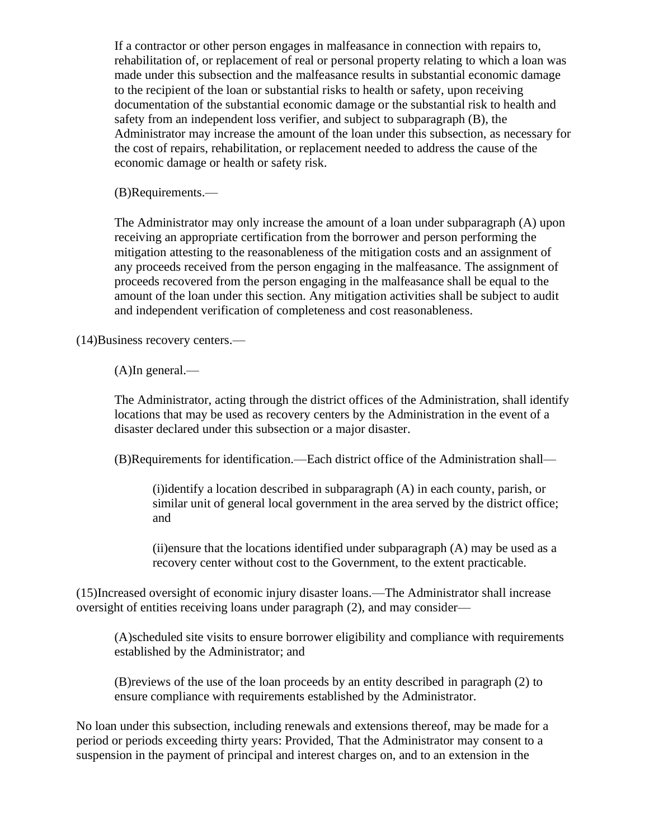If a contractor or other person engages in malfeasance in connection with repairs to, rehabilitation of, or replacement of real or personal property relating to which a loan was made under this subsection and the malfeasance results in substantial economic damage to the recipient of the loan or substantial risks to health or safety, upon receiving documentation of the substantial economic damage or the substantial risk to health and safety from an independent loss verifier, and subject to subparagraph (B), the Administrator may increase the amount of the loan under this subsection, as necessary for the cost of repairs, rehabilitation, or replacement needed to address the cause of the economic damage or health or safety risk.

(B)Requirements.—

The Administrator may only increase the amount of a loan under subparagraph (A) upon receiving an appropriate certification from the borrower and person performing the mitigation attesting to the reasonableness of the mitigation costs and an assignment of any proceeds received from the person engaging in the malfeasance. The assignment of proceeds recovered from the person engaging in the malfeasance shall be equal to the amount of the loan under this section. Any mitigation activities shall be subject to audit and independent verification of completeness and cost reasonableness.

(14)Business recovery centers.—

(A)In general.—

The Administrator, acting through the district offices of the Administration, shall identify locations that may be used as recovery centers by the Administration in the event of a disaster declared under this subsection or a major disaster.

(B)Requirements for identification.—Each district office of the Administration shall—

(i)identify a location described in subparagraph (A) in each county, parish, or similar unit of general local government in the area served by the district office; and

 $(i)$  ensure that the locations identified under subparagraph  $(A)$  may be used as a recovery center without cost to the Government, to the extent practicable.

(15)Increased oversight of economic injury disaster loans.—The Administrator shall increase oversight of entities receiving loans under paragraph (2), and may consider—

(A)scheduled site visits to ensure borrower eligibility and compliance with requirements established by the Administrator; and

(B)reviews of the use of the loan proceeds by an entity described in paragraph (2) to ensure compliance with requirements established by the Administrator.

No loan under this subsection, including renewals and extensions thereof, may be made for a period or periods exceeding thirty years: Provided, That the Administrator may consent to a suspension in the payment of principal and interest charges on, and to an extension in the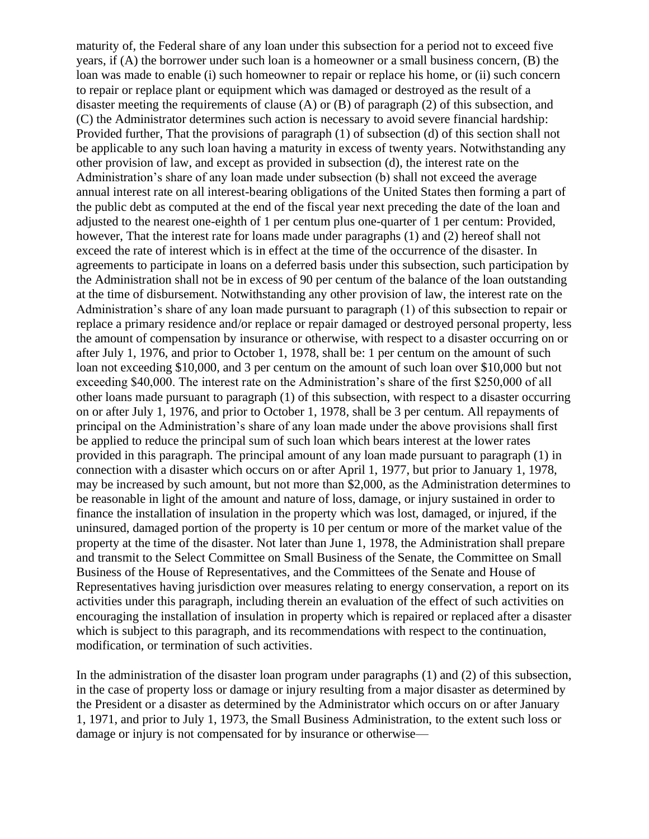maturity of, the Federal share of any loan under this subsection for a period not to exceed five years, if (A) the borrower under such loan is a homeowner or a small business concern, (B) the loan was made to enable (i) such homeowner to repair or replace his home, or (ii) such concern to repair or replace plant or equipment which was damaged or destroyed as the result of a disaster meeting the requirements of clause (A) or (B) of paragraph (2) of this subsection, and (C) the Administrator determines such action is necessary to avoid severe financial hardship: Provided further, That the provisions of paragraph (1) of subsection (d) of this section shall not be applicable to any such loan having a maturity in excess of twenty years. Notwithstanding any other provision of law, and except as provided in subsection (d), the interest rate on the Administration's share of any loan made under subsection (b) shall not exceed the average annual interest rate on all interest-bearing obligations of the United States then forming a part of the public debt as computed at the end of the fiscal year next preceding the date of the loan and adjusted to the nearest one-eighth of 1 per centum plus one-quarter of 1 per centum: Provided, however, That the interest rate for loans made under paragraphs (1) and (2) hereof shall not exceed the rate of interest which is in effect at the time of the occurrence of the disaster. In agreements to participate in loans on a deferred basis under this subsection, such participation by the Administration shall not be in excess of 90 per centum of the balance of the loan outstanding at the time of disbursement. Notwithstanding any other provision of law, the interest rate on the Administration's share of any loan made pursuant to paragraph (1) of this subsection to repair or replace a primary residence and/or replace or repair damaged or destroyed personal property, less the amount of compensation by insurance or otherwise, with respect to a disaster occurring on or after July 1, 1976, and prior to October 1, 1978, shall be: 1 per centum on the amount of such loan not exceeding \$10,000, and 3 per centum on the amount of such loan over \$10,000 but not exceeding \$40,000. The interest rate on the Administration's share of the first \$250,000 of all other loans made pursuant to paragraph (1) of this subsection, with respect to a disaster occurring on or after July 1, 1976, and prior to October 1, 1978, shall be 3 per centum. All repayments of principal on the Administration's share of any loan made under the above provisions shall first be applied to reduce the principal sum of such loan which bears interest at the lower rates provided in this paragraph. The principal amount of any loan made pursuant to paragraph (1) in connection with a disaster which occurs on or after April 1, 1977, but prior to January 1, 1978, may be increased by such amount, but not more than \$2,000, as the Administration determines to be reasonable in light of the amount and nature of loss, damage, or injury sustained in order to finance the installation of insulation in the property which was lost, damaged, or injured, if the uninsured, damaged portion of the property is 10 per centum or more of the market value of the property at the time of the disaster. Not later than June 1, 1978, the Administration shall prepare and transmit to the Select Committee on Small Business of the Senate, the Committee on Small Business of the House of Representatives, and the Committees of the Senate and House of Representatives having jurisdiction over measures relating to energy conservation, a report on its activities under this paragraph, including therein an evaluation of the effect of such activities on encouraging the installation of insulation in property which is repaired or replaced after a disaster which is subject to this paragraph, and its recommendations with respect to the continuation, modification, or termination of such activities.

In the administration of the disaster loan program under paragraphs (1) and (2) of this subsection, in the case of property loss or damage or injury resulting from a major disaster as determined by the President or a disaster as determined by the Administrator which occurs on or after January 1, 1971, and prior to July 1, 1973, the Small Business Administration, to the extent such loss or damage or injury is not compensated for by insurance or otherwise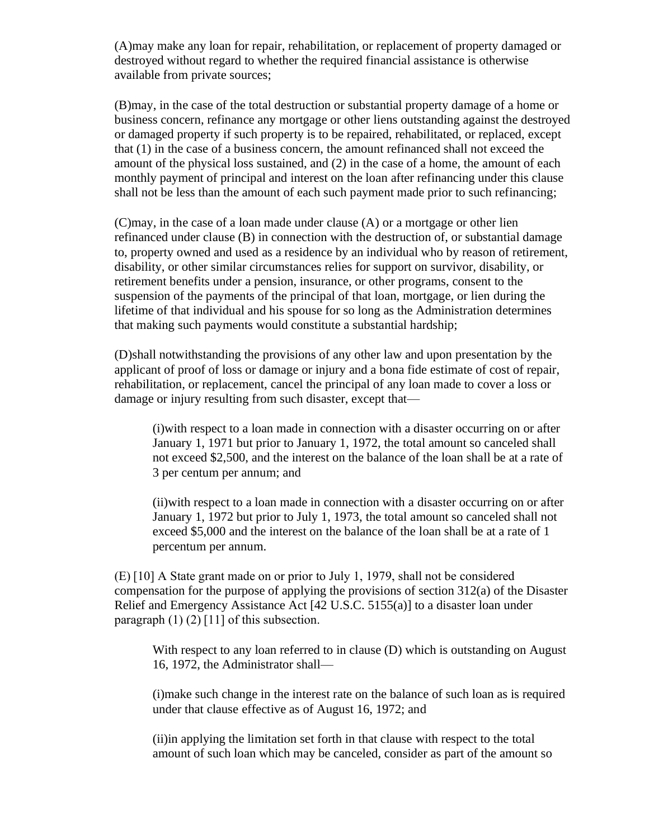(A)may make any loan for repair, rehabilitation, or replacement of property damaged or destroyed without regard to whether the required financial assistance is otherwise available from private sources;

(B)may, in the case of the total destruction or substantial property damage of a home or business concern, refinance any mortgage or other liens outstanding against the destroyed or damaged property if such property is to be repaired, rehabilitated, or replaced, except that (1) in the case of a business concern, the amount refinanced shall not exceed the amount of the physical loss sustained, and (2) in the case of a home, the amount of each monthly payment of principal and interest on the loan after refinancing under this clause shall not be less than the amount of each such payment made prior to such refinancing;

(C)may, in the case of a loan made under clause (A) or a mortgage or other lien refinanced under clause (B) in connection with the destruction of, or substantial damage to, property owned and used as a residence by an individual who by reason of retirement, disability, or other similar circumstances relies for support on survivor, disability, or retirement benefits under a pension, insurance, or other programs, consent to the suspension of the payments of the principal of that loan, mortgage, or lien during the lifetime of that individual and his spouse for so long as the Administration determines that making such payments would constitute a substantial hardship;

(D)shall notwithstanding the provisions of any other law and upon presentation by the applicant of proof of loss or damage or injury and a bona fide estimate of cost of repair, rehabilitation, or replacement, cancel the principal of any loan made to cover a loss or damage or injury resulting from such disaster, except that—

(i)with respect to a loan made in connection with a disaster occurring on or after January 1, 1971 but prior to January 1, 1972, the total amount so canceled shall not exceed \$2,500, and the interest on the balance of the loan shall be at a rate of 3 per centum per annum; and

(ii)with respect to a loan made in connection with a disaster occurring on or after January 1, 1972 but prior to July 1, 1973, the total amount so canceled shall not exceed \$5,000 and the interest on the balance of the loan shall be at a rate of 1 percentum per annum.

(E) [10] A State grant made on or prior to July 1, 1979, shall not be considered compensation for the purpose of applying the provisions of section 312(a) of the Disaster Relief and Emergency Assistance Act [42 U.S.C. 5155(a)] to a disaster loan under paragraph  $(1)$   $(2)$  [11] of this subsection.

With respect to any loan referred to in clause (D) which is outstanding on August 16, 1972, the Administrator shall—

(i)make such change in the interest rate on the balance of such loan as is required under that clause effective as of August 16, 1972; and

(ii)in applying the limitation set forth in that clause with respect to the total amount of such loan which may be canceled, consider as part of the amount so